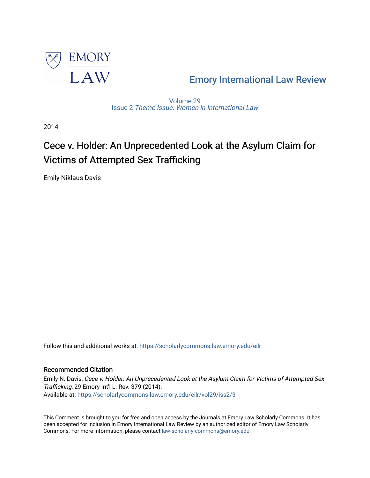

## [Emory International Law Review](https://scholarlycommons.law.emory.edu/eilr)

[Volume 29](https://scholarlycommons.law.emory.edu/eilr/vol29) Issue 2 [Theme Issue: Women in International Law](https://scholarlycommons.law.emory.edu/eilr/vol29/iss2)

2014

# Cece v. Holder: An Unprecedented Look at the Asylum Claim for Victims of Attempted Sex Trafficking

Emily Niklaus Davis

Follow this and additional works at: [https://scholarlycommons.law.emory.edu/eilr](https://scholarlycommons.law.emory.edu/eilr?utm_source=scholarlycommons.law.emory.edu%2Feilr%2Fvol29%2Fiss2%2F3&utm_medium=PDF&utm_campaign=PDFCoverPages)

## Recommended Citation

Emily N. Davis, Cece v. Holder: An Unprecedented Look at the Asylum Claim for Victims of Attempted Sex Trafficking, 29 Emory Int'l L. Rev. 379 (2014). Available at: [https://scholarlycommons.law.emory.edu/eilr/vol29/iss2/3](https://scholarlycommons.law.emory.edu/eilr/vol29/iss2/3?utm_source=scholarlycommons.law.emory.edu%2Feilr%2Fvol29%2Fiss2%2F3&utm_medium=PDF&utm_campaign=PDFCoverPages) 

This Comment is brought to you for free and open access by the Journals at Emory Law Scholarly Commons. It has been accepted for inclusion in Emory International Law Review by an authorized editor of Emory Law Scholarly Commons. For more information, please contact [law-scholarly-commons@emory.edu](mailto:law-scholarly-commons@emory.edu).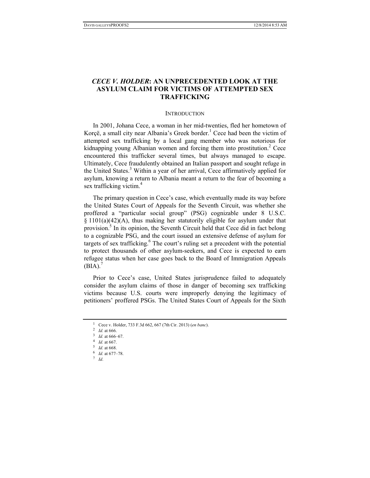## *CECE V. HOLDER***: AN UNPRECEDENTED LOOK AT THE ASYLUM CLAIM FOR VICTIMS OF ATTEMPTED SEX TRAFFICKING**

#### **INTRODUCTION**

In 2001, Johana Cece, a woman in her mid-twenties, fled her hometown of Korçë, a small city near Albania's Greek border.<sup>1</sup> Cece had been the victim of attempted sex trafficking by a local gang member who was notorious for kidnapping young Albanian women and forcing them into prostitution.<sup>2</sup> Cece encountered this trafficker several times, but always managed to escape. Ultimately, Cece fraudulently obtained an Italian passport and sought refuge in the United States.<sup>3</sup> Within a year of her arrival, Cece affirmatively applied for asylum, knowing a return to Albania meant a return to the fear of becoming a sex trafficking victim.<sup>4</sup>

The primary question in Cece's case, which eventually made its way before the United States Court of Appeals for the Seventh Circuit, was whether she proffered a "particular social group" (PSG) cognizable under 8 U.S.C. § 1101(a)(42)(A), thus making her statutorily eligible for asylum under that provision.<sup>5</sup> In its opinion, the Seventh Circuit held that Cece did in fact belong to a cognizable PSG, and the court issued an extensive defense of asylum for targets of sex trafficking.<sup>6</sup> The court's ruling set a precedent with the potential to protect thousands of other asylum-seekers, and Cece is expected to earn refugee status when her case goes back to the Board of Immigration Appeals  $(BIA).<sup>7</sup>$ 

Prior to Cece's case, United States jurisprudence failed to adequately consider the asylum claims of those in danger of becoming sex trafficking victims because U.S. courts were improperly denying the legitimacy of petitioners' proffered PSGs. The United States Court of Appeals for the Sixth

<sup>1</sup> Cece v. Holder, 733 F.3d 662, 667 (7th Cir. 2013) (*en banc*). 2 *Id.* at 666. 3 *Id.* at 666–67. 4 *Id.* at 667. 5 *Id.* at 668. 6 *Id.* at 677–78. 7 *Id*.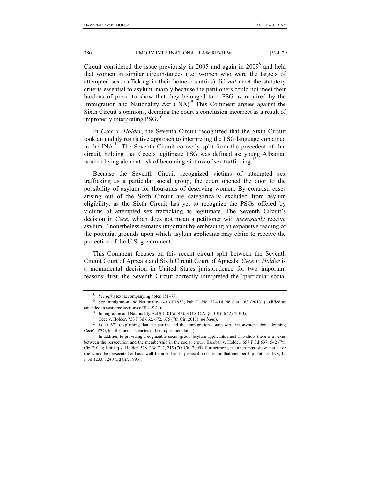Circuit considered the issue previously in 2005 and again in  $2009<sup>8</sup>$  and held that women in similar circumstances (i.e. women who were the targets of attempted sex trafficking in their home countries) did *not* meet the statutory criteria essential to asylum, mainly because the petitioners could not meet their burdens of proof to show that they belonged to a PSG as required by the Immigration and Nationality Act (INA).<sup>9</sup> This Comment argues against the Sixth Circuit's opinions, deeming the court's conclusion incorrect as a result of improperly interpreting  $PSG<sup>10</sup>$ 

In *Cece v. Holder*, the Seventh Circuit recognized that the Sixth Circuit took an unduly restrictive approach to interpreting the PSG language contained in the INA.11 The Seventh Circuit correctly split from the precedent of that circuit, holding that Cece's legitimate PSG was defined as: young Albanian women living alone at risk of becoming victims of sex trafficking.<sup>12</sup>

Because the Seventh Circuit recognized victims of attempted sex trafficking as a particular social group, the court opened the door to the possibility of asylum for thousands of deserving women. By contrast, cases arising out of the Sixth Circuit are categorically excluded from asylum eligibility, as the Sixth Circuit has yet to recognize the PSGs offered by victims of attempted sex trafficking as legitimate. The Seventh Circuit's decision in *Cece*, which does not mean a petitioner will *necessarily* receive asylum, $^{13}$  nonetheless remains important by embracing an expansive reading of the potential grounds upon which asylum applicants may claim to receive the protection of the U.S. government.

This Comment focuses on this recent circuit split between the Seventh Circuit Court of Appeals and Sixth Circuit Court of Appeals. *Cece v. Holder* is a monumental decision in United States jurisprudence for two important reasons: first, the Seventh Circuit correctly interpreted the "particular social

<sup>&</sup>lt;sup>8</sup> *See infra* text accompanying notes 151–79.<br><sup>9</sup> *See* Immigration and Nationality Act of 1952, Pub. L. No. 82-414, 66 Stat. 163 (2013) (codified as amended in scattered sections of 8 U.S.C.).<br><sup>10</sup> Immigration and Nationality Act § 1101(a)(42), 8 U.S.C.A. § 1101(a)(42) (2013).<br><sup>11</sup> Cece v. Holder, 733 F.3d 662, 672, 675 (7th Cir. 2013) (*en banc*).

<sup>&</sup>lt;sup>12</sup> Id. at 671 (explaining that the parties and the immigration courts were inconsistent about defining Cece's PSG, but the inconsistencies did not upset her claim.).

<sup>&</sup>lt;sup>13</sup> In addition to providing a cognizable social group, asylum applicants must also show there is a nexus between the persecution and the membership in the social group. Escobar v. Holder*,* 657 F.3d 537, 542 (7th Cir. 2011); Ishitiaq v. Holder*,* 578 F.3d 712, 715 (7th Cir. 2009). Furthermore, the alien must show that he or she would be persecuted or has a well-founded fear of persecution based on that membership. Fatin v. INS, 12 F.3d 1233, 1240 (3d Cir. 1993).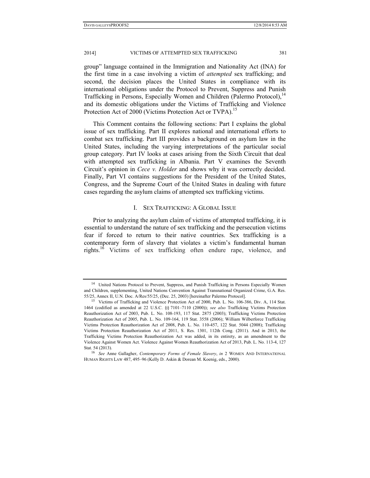group" language contained in the Immigration and Nationality Act (INA) for the first time in a case involving a victim of *attempted* sex trafficking; and second, the decision places the United States in compliance with its international obligations under the Protocol to Prevent, Suppress and Punish Trafficking in Persons, Especially Women and Children (Palermo Protocol),<sup>14</sup> and its domestic obligations under the Victims of Trafficking and Violence Protection Act of 2000 (Victims Protection Act or TVPA).<sup>15</sup>

This Comment contains the following sections: Part I explains the global issue of sex trafficking. Part II explores national and international efforts to combat sex trafficking. Part III provides a background on asylum law in the United States, including the varying interpretations of the particular social group category. Part IV looks at cases arising from the Sixth Circuit that deal with attempted sex trafficking in Albania. Part V examines the Seventh Circuit's opinion in *Cece v. Holder* and shows why it was correctly decided. Finally, Part VI contains suggestions for the President of the United States, Congress, and the Supreme Court of the United States in dealing with future cases regarding the asylum claims of attempted sex trafficking victims.

#### I. SEX TRAFFICKING: A GLOBAL ISSUE

Prior to analyzing the asylum claim of victims of attempted trafficking, it is essential to understand the nature of sex trafficking and the persecution victims fear if forced to return to their native countries. Sex trafficking is a contemporary form of slavery that violates a victim's fundamental human rights.<sup>16</sup> Victims of sex trafficking often endure rape, violence, and

<sup>&</sup>lt;sup>14</sup> United Nations Protocol to Prevent, Suppress, and Punish Trafficking in Persons Especially Women and Children, supplementing, United Nations Convention Against Transnational Organized Crime, G.A. Res. 55/25, Annex II, U.N. Doc. A/Res/55/25, (Dec. 25, 2003) [hereinafter Palermo Protocol]. 15 Victims of Trafficking and Violence Protection Act of 2000, Pub. L. No. 106-386, Div. A, 114 Stat.

<sup>1464 (</sup>codified as amended at 22 U.S.C. §§ 7101–7110 (2000)); *see also* Trafficking Victims Protection Reauthorization Act of 2003, Pub. L. No. 108-193, 117 Stat. 2875 (2003); Trafficking Victims Protection Reauthorization Act of 2005, Pub. L. No. 109-164, 119 Stat. 3558 (2006); William Wilberforce Trafficking Victims Protection Reauthorization Act of 2008, Pub. L. No. 110-457, 122 Stat. 5044 (2008); Trafficking Victims Protection Reauthorization Act of 2011, S. Res. 1301, 112th Cong. (2011). And in 2013, the Trafficking Victims Protection Reauthorization Act was added, in its entirety, as an amendment to the Violence Against Women Act. Violence Against Women Reauthorization Act of 2013, Pub. L. No. 113-4, 127 Stat. 54 (2013). 16 *See* Anne Gallagher, *Contemporary Forms of Female Slavery*, *in* 2 WOMEN AND INTERNATIONAL

HUMAN RIGHTS LAW 487, 495–96 (Kelly D. Askin & Dorean M. Koenig, eds., 2000).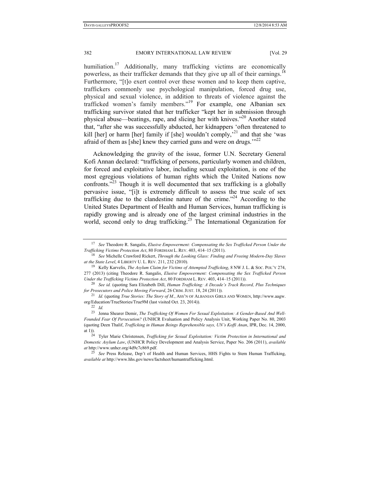humiliation.<sup>17</sup> Additionally, many trafficking victims are economically powerless, as their trafficker demands that they give up all of their earnings.<sup>18</sup> Furthermore, "[t]o exert control over these women and to keep them captive, traffickers commonly use psychological manipulation, forced drug use, physical and sexual violence, in addition to threats of violence against the trafficked women's family members."19 For example, one Albanian sex trafficking survivor stated that her trafficker "kept her in submission through physical abuse—beatings, rape, and slicing her with knives."20 Another stated that, "after she was successfully abducted, her kidnappers 'often threatened to kill [her] or harm [her] family if [she] wouldn't comply,<sup>21</sup> and that she 'was afraid of them as [she] knew they carried guns and were on drugs."<sup>22</sup>

Acknowledging the gravity of the issue, former U.N. Secretary General Kofi Annan declared: "trafficking of persons, particularly women and children, for forced and exploitative labor, including sexual exploitation, is one of the most egregious violations of human rights which the United Nations now confronts. $^{22}$  Though it is well documented that sex trafficking is a globally pervasive issue, "[i]t is extremely difficult to assess the true scale of sex trafficking due to the clandestine nature of the crime."24 According to the United States Department of Health and Human Services, human trafficking is rapidly growing and is already one of the largest criminal industries in the world, second only to drug trafficking.<sup>25</sup> The International Organization for

<sup>17</sup> *See* Theodore R. Sangalis, *Elusive Empowerment: Compensating the Sex Trafficked Person Under the* 

<sup>&</sup>lt;sup>18</sup> See Michelle Crawford Rickert, *Through the Looking Glass: Finding and Freeing Modern-Day Slaves at the State Level*, 4 LIBERTY U. L. REV. 211, 232 (2010). *19* Kelly Karvelis, *The Asylum Claim for Victims of Attempted Trafficking*, 8 NW J. L. & Soc. Pol.'Y 274,

<sup>277 (2013)</sup> (citing Theodore R. Sangalis, *Elusive Empowerment: Compensating the Sex Trafficked Person* 

<sup>&</sup>lt;sup>20</sup> See id. (quoting Sara Elizabeth Dill, *Human Trafficking: A Decade's Track Record, Plus Techniques for Prosecutors and Police Moving Forward*, 26 CRIM. JUST. 18, 24 (2011)). 21 *Id.* (quoting *True Stories: The Story of M.*, ASS'N OF ALBANIAN GIRLS AND WOMEN, http://www.aagw.

org/Education/TrueStories/True9M (last visited Oct. 23, 2014)). 22 *Id.* 

<sup>23</sup> Jenna Shearer Demir, *The Trafficking Of Women For Sexual Exploitation: A Gender-Based And Well-Founded Fear Of Persecution?* (UNHCR Evaluation and Policy Analysis Unit, Working Paper No. 80, 2003 (quoting Deen Thalif, *Trafficking in Human Beings Reprehensible says, UN's Koffi Anan*, IPR, Dec. 14, 2000, at 1)). 24 Tyler Marie Christensen, *Trafficking for Sexual Exploitation: Victim Protection in International and* 

*Domestic Asylum Law*, (UNHCR Policy Development and Analysis Service, Paper No. 206 (2011), *available at* http://www.unhcr.org/4d9c7c869.pdf.

<sup>25</sup> *See* Press Release, Dep't of Health and Human Services, HHS Fights to Stem Human Trafficking, *available at* http://www.hhs.gov/news/factsheet/humantrafficking.html.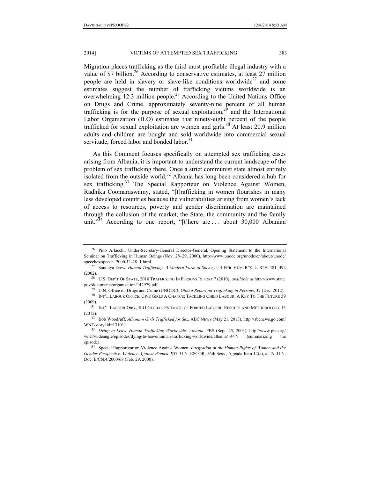#### 2014] VICTIMS OF ATTEMPTED SEX TRAFFICKING 383

Migration places trafficking as the third most profitable illegal industry with a value of  $\overline{\$7}$  billion.<sup>26</sup> According to conservative estimates, at least 27 million people are held in slavery or slave-like conditions worldwide<sup>27</sup> and some estimates suggest the number of trafficking victims worldwide is an overwhelming 12.3 million people.<sup>28</sup> According to the United Nations Office on Drugs and Crime, approximately seventy-nine percent of all human trafficking is for the purpose of sexual exploitation,<sup>29</sup> and the International Labor Organization (ILO) estimates that ninety-eight percent of the people trafficked for sexual exploitation are women and girls.<sup>30</sup> At least 20.9 million adults and children are bought and sold worldwide into commercial sexual servitude, forced labor and bonded labor. $31$ 

As this Comment focuses specifically on attempted sex trafficking cases arising from Albania, it is important to understand the current landscape of the problem of sex trafficking there. Once a strict communist state almost entirely isolated from the outside world,<sup>32</sup> Albania has long been considered a hub for sex trafficking.<sup>33</sup> The Special Rapporteur on Violence Against Women, Radhika Coomaraswamy, stated, "[t]rafficking in women flourishes in many less developed countries because the vulnerabilities arising from women's lack of access to resources, poverty and gender discrimination are maintained through the collusion of the market, the State, the community and the family unit."<sup>34</sup> According to one report, "[t]here are ... about 30,000 Albanian

<sup>&</sup>lt;sup>26</sup> Pino Arlacchi, Under-Secretary-General Director-General, Opening Statement to the International Seminar on Trafficking in Human Beings (Nov. 28–29, 2000), http://www.unodc.org/unodc/en/about-unodc/ speeches/speech\_2000-11-28\_1.html. 27 Sandhya Drew, *Human Trafficking: A Modern Form of Slavery?*, 4 EUR. HUM. RTS. L. REV. 481, 492

<sup>(2002). 28</sup> U.S. DEP'T OF STATE, <sup>2010</sup> TRAFFICKING IN PERSONS REPORT 7 (2010), *available at* http://www.state. gov/documents/organization/142979.pdf.<br><sup>29</sup> U.N. Office on Drugs and Crime (UNODC), *Global Report on Trafficking in Persons*, 37 (Dec. 2012).<br><sup>30</sup> INT'L LABOUR OFFICE, GIVE GIRLS A CHANCE: TACKLING CHILD LABOUR, A KEY TO

<sup>(2009). 31</sup> INT'L LABOUR ORG., ILO GLOBAL ESTIMATE OF FORCED LABOUR: RESULTS AND METHODOLOGY 13

<sup>(2012). 32</sup> Bob Woodruff, *Albanian Girls Trafficked for Sex*, ABC NEWS (May 21, 2013), http://abcnews.go.com/

WNT/story?id=131011. 33 *Dying to Leave Human Trafficking Worldwide: Albania*, PBS (Sept. 25, 2003), http://www.pbs.org/

wnet/wideangle/episodes/dying-to-leave/human-trafficking-worldwide/albania/1447/ (summarizing episode). 34 Special Rapporteur on Violence Against Women, *Integration of the Human Rights of Women and the* 

*Gender Perspective, Violence Against Women*, ¶57, U.N. ESCOR, 56th Sess., Agenda Item 12(a), at 19, U.N. Doc. E/CN.4/2000/68 (Feb. 29, 2000).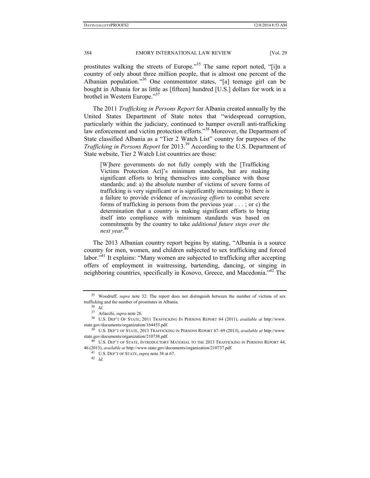prostitutes walking the streets of Europe."<sup>35</sup> The same report noted, "[i]n a country of only about three million people, that is almost one percent of the Albanian population."36 One commentator states, "[a] teenage girl can be bought in Albania for as little as [fifteen] hundred [U.S.] dollars for work in a brothel in Western Europe."<sup>37</sup>

The 2011 *Trafficking in Persons Report* for Albania created annually by the United States Department of State notes that "widespread corruption, particularly within the judiciary, continued to hamper overall anti-trafficking law enforcement and victim protection efforts."<sup>38</sup> Moreover, the Department of State classified Albania as a "Tier 2 Watch List" country for purposes of the *Trafficking in Persons Report* for 2013.39 According to the U.S. Department of State website, Tier 2 Watch List countries are those:

[W]here governments do not fully comply with the [Trafficking Victims Protection Act]'s minimum standards, but are making significant efforts to bring themselves into compliance with those standards; and: a) the absolute number of victims of severe forms of trafficking is very significant or is significantly increasing; b) there is a failure to provide evidence of *increasing efforts* to combat severe forms of trafficking in persons from the previous year . . . ; or c) the determination that a country is making significant efforts to bring itself into compliance with minimum standards was based on commitments by the country to take *additional future steps over the next year*. 40

The 2013 Albanian country report begins by stating, "Albania is a source country for men, women, and children subjected to sex trafficking and forced labor."<sup>41</sup> It explains: "Many women are subjected to trafficking after accepting offers of employment in waitressing, bartending, dancing, or singing in neighboring countries, specifically in Kosovo, Greece, and Macedonia."42 The

<sup>35</sup> Woodruff, *supra* note 32. The report does not distinguish between the number of victims of sex trafficking and the number of prostitutes in Albania.<br><sup>36</sup> *Id.*<br><sup>37</sup> Arlacchi, *supra* note 26.

<sup>&</sup>lt;sup>38</sup> U.S. DEP'T OF STATE, 2011 TRAFFICKING IN PERSONS REPORT 64 (2011), *available at* http://www. state.gov/documents/organization/164453.pdf. 39 U.S. DEP'T OF STATE, 2013 TRAFFICKING IN PERSONS REPORT 67–69 (2013), *available at* http://www.

state.gov/documents/organization/210738.pdf. 40 U.S. DEP'T OF STATE, INTRODUCTORY MATERIAL TO THE 2013 TRAFFICKING IN PERSONS REPORT 44,

<sup>46</sup> (2013), *available at* http://www.state.gov/documents/organization/210737.pdf. 41 U.S. DEP'T OF STATE, *supra* note 38 at 67. 42 *Id.*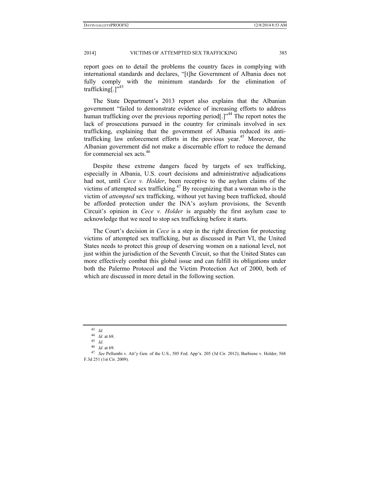report goes on to detail the problems the country faces in complying with international standards and declares, "[t]he Government of Albania does not fully comply with the minimum standards for the elimination of trafficking[ $.^{1}$ "<sup>43</sup>

The State Department's 2013 report also explains that the Albanian government "failed to demonstrate evidence of increasing efforts to address human trafficking over the previous reporting period[.]"<sup>44</sup> The report notes the lack of prosecutions pursued in the country for criminals involved in sex trafficking, explaining that the government of Albania reduced its antitrafficking law enforcement efforts in the previous year.<sup>45</sup> Moreover, the Albanian government did not make a discernable effort to reduce the demand for commercial sex acts. $46$ 

Despite these extreme dangers faced by targets of sex trafficking, especially in Albania, U.S. court decisions and administrative adjudications had not, until *Cece v. Holder*, been receptive to the asylum claims of the victims of attempted sex trafficking.<sup>47</sup> By recognizing that a woman who is the victim of *attempted* sex trafficking, without yet having been trafficked, should be afforded protection under the INA's asylum provisions, the Seventh Circuit's opinion in *Cece v. Holder* is arguably the first asylum case to acknowledge that we need to stop sex trafficking before it starts.

The Court's decision in *Cece* is a step in the right direction for protecting victims of attempted sex trafficking, but as discussed in Part VI, the United States needs to protect this group of deserving women on a national level, not just within the jurisdiction of the Seventh Circuit, so that the United States can more effectively combat this global issue and can fulfill its obligations under both the Palermo Protocol and the Victim Protection Act of 2000, both of which are discussed in more detail in the following section.

<sup>43</sup> *Id.* 

<sup>44</sup> *Id.* at 68. 45 *Id.* 

<sup>&</sup>lt;sup>47</sup> *See* Pellumbi v. Att'y Gen. of the U.S., 505 Fed. App'x. 205 (3d Cir. 2012); Burbiene v. Holder, 568 F.3d 251 (1st Cir. 2009).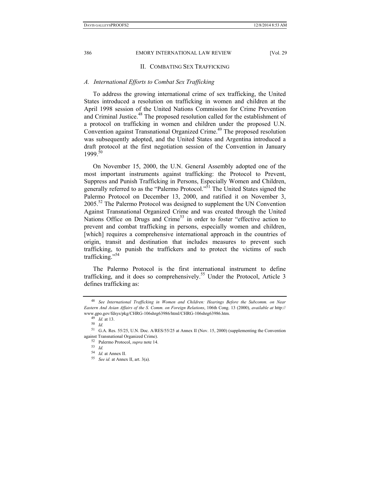#### II. COMBATING SEX TRAFFICKING

#### *A. International Efforts to Combat Sex Trafficking*

To address the growing international crime of sex trafficking, the United States introduced a resolution on trafficking in women and children at the April 1998 session of the United Nations Commission for Crime Prevention and Criminal Justice.<sup>48</sup> The proposed resolution called for the establishment of a protocol on trafficking in women and children under the proposed U.N. Convention against Transnational Organized Crime.<sup>49</sup> The proposed resolution was subsequently adopted, and the United States and Argentina introduced a draft protocol at the first negotiation session of the Convention in January 1999.<sup>50</sup>

On November 15, 2000, the U.N. General Assembly adopted one of the most important instruments against trafficking: the Protocol to Prevent, Suppress and Punish Trafficking in Persons, Especially Women and Children, generally referred to as the "Palermo Protocol."51 The United States signed the Palermo Protocol on December 13, 2000, and ratified it on November 3, 2005.<sup>52</sup> The Palermo Protocol was designed to supplement the UN Convention Against Transnational Organized Crime and was created through the United Nations Office on Drugs and Crime<sup>53</sup> in order to foster "effective action to prevent and combat trafficking in persons, especially women and children, [which] requires a comprehensive international approach in the countries of origin, transit and destination that includes measures to prevent such trafficking, to punish the traffickers and to protect the victims of such trafficking."54

The Palermo Protocol is the first international instrument to define trafficking, and it does so comprehensively.<sup>55</sup> Under the Protocol, Article 3 defines trafficking as:

<sup>48</sup> *See International Trafficking in Women and Children: Hearings Before the Subcomm. on Near Eastern And Asian Affairs of the S. Comm. on Foreign Relations*, 106th Cong. 13 (2000), *available at* http:// www.gpo.gov/fdsys/pkg/CHRG-106shrg63986/html/CHRG-106shrg63986.htm. 49 *Id.* at 13. 50 *Id.* 

<sup>51</sup> G.A. Res. 55/25, U.N. Doc. A/RES/55/25 at Annex II (Nov. 15, 2000) (supplementing the Convention

against Transnational Organized Crime). 52 Palermo Protocol, *supra* note 14. 53 *Id.* 

<sup>&</sup>lt;sup>55</sup> *See id.* at Annex II, art. 3(a).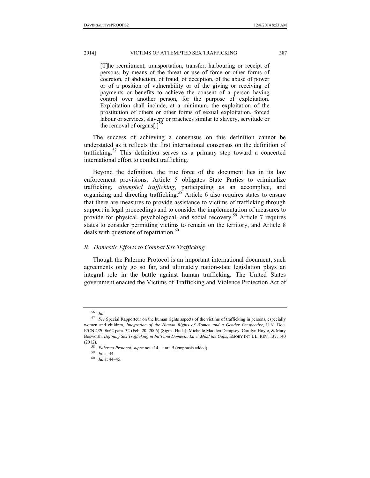[T]he recruitment, transportation, transfer, harbouring or receipt of persons, by means of the threat or use of force or other forms of coercion, of abduction, of fraud, of deception, of the abuse of power or of a position of vulnerability or of the giving or receiving of payments or benefits to achieve the consent of a person having control over another person, for the purpose of exploitation. Exploitation shall include, at a minimum, the exploitation of the prostitution of others or other forms of sexual exploitation, forced labour or services, slavery or practices similar to slavery, servitude or the removal of organs[.]<sup>56</sup>

The success of achieving a consensus on this definition cannot be understated as it reflects the first international consensus on the definition of trafficking.<sup>57</sup> This definition serves as a primary step toward a concerted international effort to combat trafficking.

Beyond the definition, the true force of the document lies in its law enforcement provisions. Article 5 obligates State Parties to criminalize trafficking, *attempted trafficking*, participating as an accomplice, and organizing and directing trafficking.<sup>58</sup> Article 6 also requires states to ensure that there are measures to provide assistance to victims of trafficking through support in legal proceedings and to consider the implementation of measures to provide for physical, psychological, and social recovery.<sup>59</sup> Article 7 requires states to consider permitting victims to remain on the territory, and Article 8 deals with questions of repatriation. $60$ 

#### *B. Domestic Efforts to Combat Sex Trafficking*

Though the Palermo Protocol is an important international document, such agreements only go so far, and ultimately nation-state legislation plays an integral role in the battle against human trafficking. The United States government enacted the Victims of Trafficking and Violence Protection Act of

<sup>56</sup> *Id.* 57 *See* Special Rapporteur on the human rights aspects of the victims of trafficking in persons, especially women and children, *Integration of the Human Rights of Women and a Gender Perspective*, U.N. Doc. E/CN.4/2006/62 para. 32 (Feb. 20, 2006) (Sigma Huda); Michelle Madden Dempsey, Carolyn Hoyle, & Mary Bosworth, *Defining Sex Trafficking in Int'l and Domestic Law: Mind the Gaps*, EMORY INT'L L. REV. 137, 140

<sup>(2012). 58</sup> *Palermo Protocol*, *supra* note 14, at art. 5 (emphasis added). 59 *Id.* at 44. 60 *Id.* at 44–45.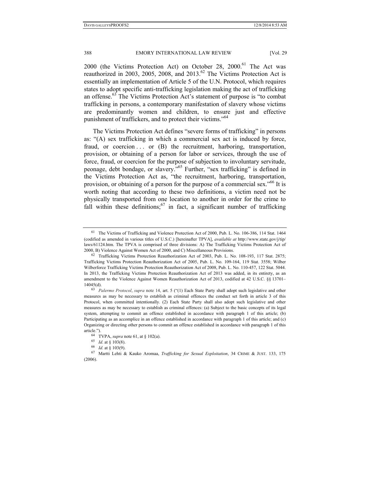2000 (the Victims Protection Act) on October 28, 2000.<sup>61</sup> The Act was reauthorized in 2003, 2005, 2008, and  $2013<sup>62</sup>$  The Victims Protection Act is essentially an implementation of Article 5 of the U.N. Protocol, which requires states to adopt specific anti-trafficking legislation making the act of trafficking an offense.<sup>63</sup> The Victims Protection Act's statement of purpose is "to combat trafficking in persons, a contemporary manifestation of slavery whose victims are predominantly women and children, to ensure just and effective punishment of traffickers, and to protect their victims."<sup>64</sup>

The Victims Protection Act defines "severe forms of trafficking" in persons as: "(A) sex trafficking in which a commercial sex act is induced by force, fraud, or coercion . . . or (B) the recruitment, harboring, transportation, provision, or obtaining of a person for labor or services, through the use of force, fraud, or coercion for the purpose of subjection to involuntary servitude, peonage, debt bondage, or slavery."65 Further, "sex trafficking" is defined in the Victims Protection Act as, "the recruitment, harboring, transportation, provision, or obtaining of a person for the purpose of a commercial sex."<sup>66</sup> It is worth noting that according to these two definitions, a victim need not be physically transported from one location to another in order for the crime to fall within these definitions;  $67$  in fact, a significant number of trafficking

<sup>61</sup> The Victims of Trafficking and Violence Protection Act of 2000, Pub. L. No. 106-386, 114 Stat. 1464 (codified as amended in various titles of U.S.C.) [hereinafter TPVA], *available at* http://www.state.gov/j/tip/ laws/61124.htm. The TPVA is comprised of three divisions: A) The Trafficking Victims Protection Act of 2000, B) Violence Against Women Act of 2000, and C) Miscellaneous Provisions.<br><sup>62</sup> Trafficking Victims Protection Reauthorization Act of 2003, Pub. L. No. 108-193, 117 Stat. 2875;

Trafficking Victims Protection Reauthorization Act of 2005, Pub. L. No. 109-164, 119 Stat. 3558; Wilber Wilberforce Trafficking Victims Protection Reauthorization Act of 2008, Pub. L. No. 110-457, 122 Stat. 5044. In 2013, the Trafficking Victims Protection Reauthorization Act of 2013 was added, in its entirety, as an amendment to the Violence Against Women Reauthorization Act of 2013, codified at 42 U.S.C. §§ 13701– 14045(d). 63 *Palermo Protocol*, *supra* note 14, art. 5 ("(1) Each State Party shall adopt such legislative and other

measures as may be necessary to establish as criminal offences the conduct set forth in article 3 of this Protocol, when committed intentionally. (2) Each State Party shall also adopt such legislative and other measures as may be necessary to establish as criminal offences: (a) Subject to the basic concepts of its legal system, attempting to commit an offence established in accordance with paragraph 1 of this article; (b) Participating as an accomplice in an offence established in accordance with paragraph 1 of this article; and (c) Organizing or directing other persons to commit an offence established in accordance with paragraph 1 of this article.").<br><sup>64</sup> TVPA, *supra* note 61, at § 102(a).<br><sup>65</sup> *Id.* at § 103(8).<br><sup>66</sup> *Id.* at § 103(9).<br><sup>67</sup> Martti Lehti & Kauko Aromaa, *Trafficking for Sexual Exploitation*, 34 CRIME & JUST. 133, 175

<sup>(2006).</sup>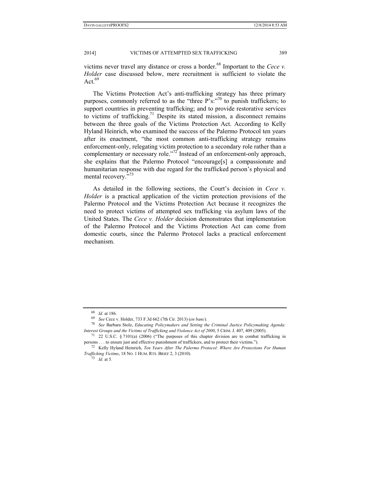victims never travel any distance or cross a border.<sup>68</sup> Important to the *Cece v. Holder* case discussed below, mere recruitment is sufficient to violate the Act. $69$ 

The Victims Protection Act's anti-trafficking strategy has three primary purposes, commonly referred to as the "three  $P's$ :  $\frac{1}{20}$ " to punish traffickers; to support countries in preventing trafficking; and to provide restorative services to victims of trafficking.<sup>71</sup> Despite its stated mission, a disconnect remains between the three goals of the Victims Protection Act. According to Kelly Hyland Heinrich, who examined the success of the Palermo Protocol ten years after its enactment, "the most common anti-trafficking strategy remains enforcement-only, relegating victim protection to a secondary role rather than a complementary or necessary role."<sup>72</sup> Instead of an enforcement-only approach, she explains that the Palermo Protocol "encourage[s] a compassionate and humanitarian response with due regard for the trafficked person's physical and mental recovery."<sup>73</sup>

As detailed in the following sections, the Court's decision in *Cece v. Holder* is a practical application of the victim protection provisions of the Palermo Protocol and the Victims Protection Act because it recognizes the need to protect victims of attempted sex trafficking via asylum laws of the United States. The *Cece v. Holder* decision demonstrates that implementation of the Palermo Protocol and the Victims Protection Act can come from domestic courts, since the Palermo Protocol lacks a practical enforcement mechanism.

<sup>68</sup> *Id.* at 186. 69 *See* Cece v. Holder, 733 F.3d 662 (7th Cir. 2013) (*en banc*). 70 *See* Barbara Stolz, *Educating Policymakers and Setting the Criminal Justice Policymaking Agenda: Interest Groups and the Victims of Trafficking and Violence Act of 2000*, 5 CRIM. J. 407, 409 (2005).<br><sup>71</sup> 22 U.S.C. § 7101(a) (2006) ("The purposes of this chapter division are to combat trafficking in

persons . . . to ensure just and effective punishment of traffickers, and to protect their victims."). 72 Kelly Hyland Heinrich, *Ten Years After The Palermo Protocol: Where Are Protections For Human* 

*Trafficking Victims*, 18 NO. <sup>1</sup> HUM. RTS. BRIEF 2, 3 (2010). 73 *Id.* at 5.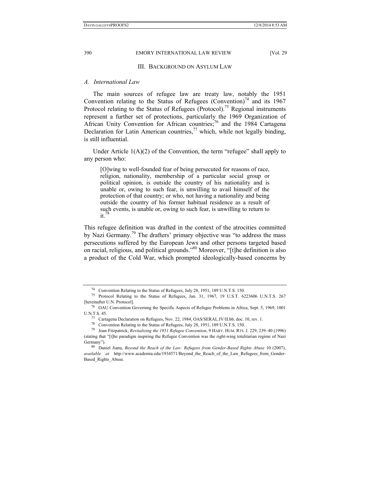#### III. BACKGROUND ON ASYLUM LAW

#### *A. International Law*

The main sources of refugee law are treaty law, notably the 1951 Convention relating to the Status of Refugees (Convention)<sup>74</sup> and its 1967 Protocol relating to the Status of Refugees (Protocol).<sup>75</sup> Regional instruments represent a further set of protections, particularly the 1969 Organization of African Unity Convention for African countries;<sup>76</sup> and the 1984 Cartagena Declaration for Latin American countries,<sup>77</sup> which, while not legally binding, is still influential.

Under Article  $1(A)(2)$  of the Convention, the term "refugee" shall apply to any person who:

[O]wing to well-founded fear of being persecuted for reasons of race, religion, nationality, membership of a particular social group or political opinion, is outside the country of his nationality and is unable or, owing to such fear, is unwilling to avail himself of the protection of that country; or who, not having a nationality and being outside the country of his former habitual residence as a result of such events, is unable or, owing to such fear, is unwilling to return to  $it$ <sup>78</sup>

This refugee definition was drafted in the context of the atrocities committed by Nazi Germany.79 The drafters' primary objective was "to address the mass persecutions suffered by the European Jews and other persons targeted based on racial, religious, and political grounds."80 Moreover, "[t]he definition is also a product of the Cold War, which prompted ideologically-based concerns by

<sup>74</sup> Convention Relating to the Status of Refugees, July 28, 1951, 189 U.N.T.S. 150.

<sup>75</sup> Protocol Relating to the Status of Refugees, Jan. 31, 1967, 19 U.S.T. 6223606 U.N.T.S. 267 [hereinafter U.N. Protocol]. 76 OAU Convention Governing the Specific Aspects of Refugee Problems in Africa, Sept. 5, 1969, 1001

U.N.T.S. 45. 77 Cartagena Declaration on Refugees, Nov. 22, 1984, OAS/SERAL.IV/II.bb, doc. 10, rev. 1.

<sup>78</sup> Convention Relating to the Status of Refugees, July 28, 1951, 189 U.N.T.S. 150.

<sup>79</sup> Joan Fitzpatrick, *Revitalizing the 1951 Refugee Convention*, 9 HARV. HUM. RTS. J. 229, 239–40 (1996) (stating that "[t]he paradigm inspiring the Refugee Convention was the right-wing totalitarian regime of Nazi

Germany").<br><sup>80</sup> Daniel Jianu, *Beyond the Reach of the Law: Refugees from Gender-Based Rights Abuse* 10 (2007), *available at* http://www.academia.edu/1934571/Beyond\_the\_Reach\_of\_the\_Law\_Refugees\_from\_Gender-Based Rights Abuse.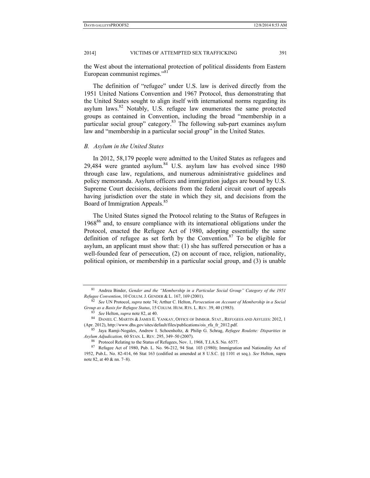the West about the international protection of political dissidents from Eastern European communist regimes."<sup>81</sup>

The definition of "refugee" under U.S. law is derived directly from the 1951 United Nations Convention and 1967 Protocol, thus demonstrating that the United States sought to align itself with international norms regarding its asylum laws. $82$  Notably, U.S. refugee law enumerates the same protected groups as contained in Convention, including the broad "membership in a particular social group" category.<sup>83</sup> The following sub-part examines asylum law and "membership in a particular social group" in the United States.

#### *B. Asylum in the United States*

In 2012, 58,179 people were admitted to the United States as refugees and 29,484 were granted asylum. $84$  U.S. asylum law has evolved since 1980 through case law, regulations, and numerous administrative guidelines and policy memoranda. Asylum officers and immigration judges are bound by U.S. Supreme Court decisions, decisions from the federal circuit court of appeals having jurisdiction over the state in which they sit, and decisions from the Board of Immigration Appeals.<sup>85</sup>

The United States signed the Protocol relating to the Status of Refugees in 1968<sup>86</sup> and, to ensure compliance with its international obligations under the Protocol, enacted the Refugee Act of 1980, adopting essentially the same definition of refugee as set forth by the Convention.<sup>87</sup> To be eligible for asylum, an applicant must show that: (1) she has suffered persecution or has a well-founded fear of persecution, (2) on account of race, religion, nationality, political opinion, or membership in a particular social group, and (3) is unable

<sup>81</sup> Andrea Binder, *Gender and the "Membership in a Particular Social Group" Category of the 1951 Refugee Convention*, 10 COLUM. J. GENDER & L. 167, 169 (2001). 82 *See* UN Protocol, *supra* note 74; Arthur C. Helton, *Persecution on Account of Membership in a Social* 

Group as a Basis for Refugee Status, 15 COLUM. HUM. RTS. L. REV. 39, 40 (1983).<br><sup>83</sup> See Helton, *supra* note 82, at 40.<br><sup>84</sup> DANIEL C. MARTIN & JAMES E. YANKAY, OFFICE OF IMMIGR. STAT., REFUGEES AND ASYLEES: 2012, 1

<sup>(</sup>Apr. 2012), http://www.dhs.gov/sites/default/files/publications/ois\_rfa\_fr\_2012.pdf. 85 Jaya Ramji-Nogales, Andrew I. Schoenholtz, & Philip G. Schrag, *Refugee Roulette: Disparities in Asylum Adjudication, 60 STAN. L. REV. 295, 349–50 (2007).*<br><sup>86</sup> Protocol Relating to the Status of Refugees, Nov. 1, 1968, T.I.A.S. No. 6577.

<sup>87</sup> Refugee Act of 1980, Pub. L. No. 96-212, 94 Stat. 103 (1980); Immigration and Nationality Act of 1952, Pub.L. No. 82-414, 66 Stat 163 (codified as amended at 8 U.S.C. §§ 1101 et seq.). *See* Helton, supra note 82, at 40 & nn. 7–8).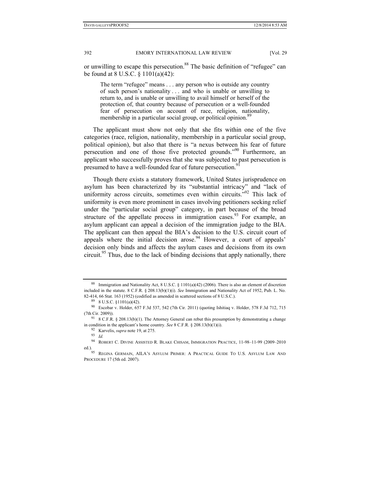or unwilling to escape this persecution.<sup>88</sup> The basic definition of "refugee" can be found at 8 U.S.C. § 1101(a)(42):

The term "refugee" means . . . any person who is outside any country of such person's nationality . . . and who is unable or unwilling to return to, and is unable or unwilling to avail himself or herself of the protection of, that country because of persecution or a well-founded fear of persecution on account of race, religion, nationality, membership in a particular social group, or political opinion.<sup>8</sup>

The applicant must show not only that she fits within one of the five categories (race, religion, nationality, membership in a particular social group, political opinion), but also that there is "a nexus between his fear of future persecution and one of those five protected grounds."<sup>90</sup> Furthermore, an applicant who successfully proves that she was subjected to past persecution is presumed to have a well-founded fear of future persecution.

Though there exists a statutory framework, United States jurisprudence on asylum has been characterized by its "substantial intricacy" and "lack of uniformity across circuits, sometimes even within circuits."<sup>92</sup> This lack of uniformity is even more prominent in cases involving petitioners seeking relief under the "particular social group" category, in part because of the broad structure of the appellate process in immigration cases.<sup>93</sup> For example, an asylum applicant can appeal a decision of the immigration judge to the BIA. The applicant can then appeal the BIA's decision to the U.S. circuit court of appeals where the initial decision arose. $94$  However, a court of appeals' decision only binds and affects the asylum cases and decisions from its own circuit.<sup>95</sup> Thus, due to the lack of binding decisions that apply nationally, there

<sup>&</sup>lt;sup>88</sup> Immigration and Nationality Act, 8 U.S.C. § 1101(a)(42) (2006). There is also an element of discretion included in the statute. 8 C.F.R. § 208.13(b)(1)(i). *See* Immigration and Nationality Act of 1952, Pub. L. No. 82-414, 66 Stat. 163 (1952) (codified as amended in scattered sections of 8 U.S.C.). 89 8 U.S.C. §1101(a)(42).

<sup>90</sup> Escobar v. Holder, 657 F.3d 537, 542 (7th Cir. 2011) (quoting Ishitiaq v. Holder, 578 F.3d 712, 715 (7th Cir. 2009)). 91 8 C.F.R. § 208.13(b)(1). The Attorney General can rebut this presumption by demonstrating a change

in condition in the applicant's home country. *See* 8 C.F.R. § 208.13(b)(1)(i). 92 Karvelis, *supra* note 19, at 275. 93 *Id.*

<sup>94</sup> ROBERT C. DIVINE ASSISTED R. BLAKE CHISAM, IMMIGRATION PRACTICE, 11-98–11-99 (2009–2010 ed.).<br><sup>95</sup> Regina Germain, AILA's Asylum Primer: A Practical Guide To U.S. Asylum Law And

PROCEDURE 17 (5th ed. 2007).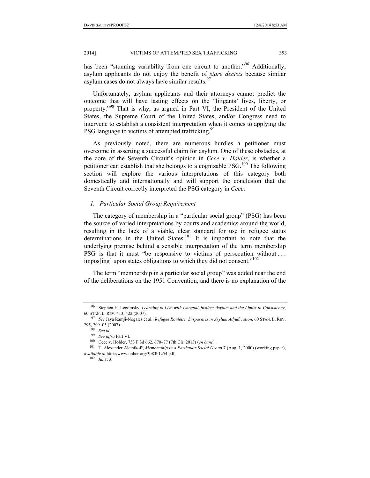has been "stunning variability from one circuit to another."<sup>96</sup> Additionally, asylum applicants do not enjoy the benefit of *stare decisis* because similar asylum cases do not always have similar results.  $97$ 

Unfortunately, asylum applicants and their attorneys cannot predict the outcome that will have lasting effects on the "litigants' lives, liberty, or property."<sup>98</sup> That is why, as argued in Part VI, the President of the United States, the Supreme Court of the United States, and/or Congress need to intervene to establish a consistent interpretation when it comes to applying the PSG language to victims of attempted trafficking.<sup>99</sup>

As previously noted, there are numerous hurdles a petitioner must overcome in asserting a successful claim for asylum. One of these obstacles, at the core of the Seventh Circuit's opinion in *Cece v. Holder*, is whether a petitioner can establish that she belongs to a cognizable  $PSG<sup>100</sup>$  The following section will explore the various interpretations of this category both domestically and internationally and will support the conclusion that the Seventh Circuit correctly interpreted the PSG category in *Cece*.

#### *1. Particular Social Group Requirement*

The category of membership in a "particular social group" (PSG) has been the source of varied interpretations by courts and academics around the world, resulting in the lack of a viable, clear standard for use in refugee status determinations in the United States.<sup>101</sup> It is important to note that the underlying premise behind a sensible interpretation of the term membership PSG is that it must "be responsive to victims of persecution without . . . impos[ing] upon states obligations to which they did not consent."<sup>102</sup>

The term "membership in a particular social group" was added near the end of the deliberations on the 1951 Convention, and there is no explanation of the

<sup>96</sup> Stephen H. Legomsky, *Learning to Live with Unequal Justice: Asylum and the Limits to Consistency*, 60 STAN. L. REV. 413, 422 (2007). 97 *See* Jaya Ramji-Nogales et al., *Refugee Roulette: Disparities in Asylum Adjudication*, 60 STAN. L. REV.

<sup>295, 299–05 (2007). 98</sup> *See id.* 

<sup>&</sup>lt;sup>100</sup> Cece v. Holder, 733 F.3d 662, 670–77 (7th Cir. 2013) (*en banc*). <sup>101</sup> T. Alexander Aleinikoff, *Membership in a Particular Social Group* 7 (Aug. 1, 2000) (working paper), *available at* http://www.unhcr.org/3b83b1c54.pdf. 102 *Id.* at 3.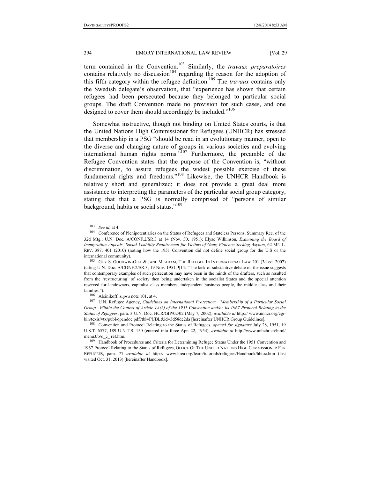term contained in the Convention.103 Similarly, the *travaux preparatoires*  contains relatively no discussion<sup>104</sup> regarding the reason for the adoption of this fifth category within the refugee definition.<sup>105</sup> The *travaux* contains only the Swedish delegate's observation, that "experience has shown that certain refugees had been persecuted because they belonged to particular social groups. The draft Convention made no provision for such cases, and one designed to cover them should accordingly be included."<sup>106</sup>

Somewhat instructive, though not binding on United States courts, is that the United Nations High Commissioner for Refugees (UNHCR) has stressed that membership in a PSG "should be read in an evolutionary manner, open to the diverse and changing nature of groups in various societies and evolving international human rights norms.<sup>"107</sup> Furthermore, the preamble of the Refugee Convention states that the purpose of the Convention is, "without discrimination, to assure refugees the widest possible exercise of these fundamental rights and freedoms."108 Likewise, the UNHCR Handbook is relatively short and generalized; it does not provide a great deal more assistance to interpreting the parameters of the particular social group category, stating that that a PSG is normally comprised of "persons of similar background, habits or social status."<sup>109</sup>

international community). 105 GUY S. GOODWIN-GILL & JANE MCADAM, THE REFUGEE IN INTERNATIONAL LAW 201 (3d ed. 2007) (citing U.N. Doc. A/CONF.2/SR.3, 19 Nov. 1951, **¶**14: "The lack of substantive debate on the issue suggests that contemporary examples of such persecution may have been in the minds of the drafters, such as resulted from the 'restructuring' of society then being undertaken in the socialist States and the special attention reserved for landowners, capitalist class members, independent business people, the middle class and their

<sup>&</sup>lt;sup>103</sup> *See id.* at 4. 104 Conference of Plenipotentiaries on the Status of Refugees and Stateless Persons, Summary Rec. of the 32d Mtg., U.N. Doc. A/CONF.2/SR.3 at 14 (Nov. 30, 1951); Elyse Wilkinson, *Examining the Board of Immigration Appeals' Social Visibility Requirement for Victims of Gang Violence Seeking Asylum*, 62 ME. L. REV. 387, 401 (2010) (noting how the 1951 Convention did not define social group for the U.S or the

families.").<br><sup>106</sup> Aleinikoff, *supra* note 101, at 4.<br><sup>107</sup> U.N. Refugee Agency, *Guidelines on International Protection: "Membership of a Particular Social Group" Within the Context of Article 1A(2) of the 1951 Convention and/or Its 1967 Protocol Relating to the Status of Refugees*, para. 3 U.N. Doc. HCR/GIP/02/02 (May 7, 2002), *available at* http:// www.unhcr.org/cgi-

bin/texis/vtx/publ/opendoc.pdf?tbl=PUBL&id=3d58de2da [hereinafter UNHCR Group Guidelines]. 108 Convention and Protocol Relating to the Status of Refugees, *opened for signature* July 28, 1951, 19 U.S.T. 6577, 189 U.N.T.S. 150 (entered into force Apr. 22, 1954), *available at* http://www.unhchr.ch/html/ menu3/b/o\_c\_ ref.htm.<br><sup>109</sup> Handbook of Procedures and Criteria for Determining Refugee Status Under the 1951 Convention and

<sup>1967</sup> Protocol Relating to the Status of Refugees, OFFICE OF THE UNITED NATIONS HIGH COMMISSIONER FOR REFUGEES, para. 77 *available at* http:// www.hrea.org/learn/tutorials/refugees/Handbook/hbtoc.htm (last visited Oct. 31, 2013) [hereinafter Handbook].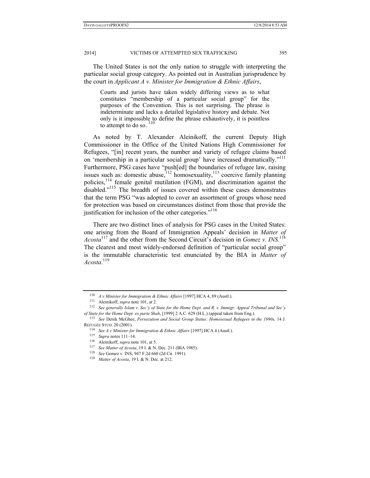The United States is not the only nation to struggle with interpreting the particular social group category. As pointed out in Australian jurisprudence by the court in *Applicant A v. Minister for Immigration & Ethnic Affairs*,

Courts and jurists have taken widely differing views as to what constitutes "membership of a particular social group" for the purposes of the Convention. This is not surprising. The phrase is indeterminate and lacks a detailed legislative history and debate. Not only is it impossible to define the phrase exhaustively, it is pointless to attempt to do so.  $110$ 

As noted by T. Alexander Aleinikoff, the current Deputy High Commissioner in the Office of the United Nations High Commissioner for Refugees, "[in] recent years, the number and variety of refugee claims based on 'membership in a particular social group' have increased dramatically."<sup>111</sup> Furthermore, PSG cases have "push[ed] the boundaries of refugee law, raising issues such as: domestic abuse, $112$  homosexuality, $113$  coercive family planning policies,114 female genital mutilation (FGM), and discrimination against the disabled."<sup>115</sup> The breadth of issues covered within these cases demonstrates that the term PSG "was adopted to cover an assortment of groups whose need for protection was based on circumstances distinct from those that provide the justification for inclusion of the other categories."<sup>116</sup>

There are two distinct lines of analysis for PSG cases in the United States: one arising from the Board of Immigration Appeals' decision in *Matter of*  Acosta<sup>117</sup> and the other from the Second Circuit's decision in *Gomez v. INS*.<sup>118</sup> The clearest and most widely-endorsed definition of "particular social group" is the immutable characteristic test enunciated by the BIA in *Matter of Acosta*. 119

<sup>&</sup>lt;sup>110</sup> *A v Minister for Immigration & Ethnic Affairs* [1997] HCA 4, 89 (Austl.).<br><sup>111</sup> Aleinikoff, *supra* note 101, at 2.<br><sup>112</sup> *See generally Islam v. Sec'y of State for the Home Dept. and R. v. Immigr. Appeal Tribunal of State for the Home Dept. ex parte Shah*, [1999] 2 A.C. 629 (H.L.) (appeal taken from Eng.). 113 *See* Derek McGhee, *Persecution and Social Group Status: Homosexual Refugees in the 1990s,* <sup>14</sup> J.

REFUGEE STUD. 20 (2001).<br>
<sup>114</sup> See A v Minister for Immigration & Ethnic Affairs [1997] HCA 4 (Austl.).<br>
<sup>115</sup> Supra notes 111–14.<br>
<sup>116</sup> Aleinikoff, *supra* note 101, at 5.<br>
<sup>117</sup> See Matter of Acosta, 19 I. & N. Dec. 21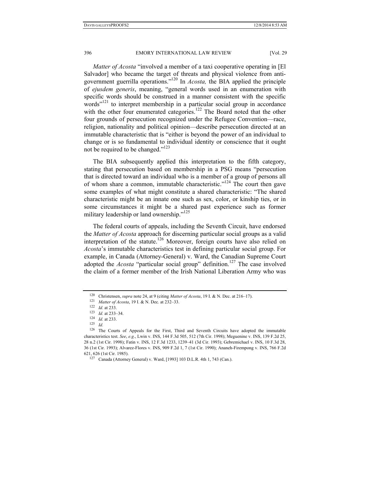*Matter of Acosta* "involved a member of a taxi cooperative operating in [El Salvador] who became the target of threats and physical violence from antigovernment guerrilla operations."120 In *Acosta,* the BIA applied the principle of *ejusdem generis*, meaning, "general words used in an enumeration with specific words should be construed in a manner consistent with the specific words"<sup>121</sup> to interpret membership in a particular social group in accordance with the other four enumerated categories.<sup>122</sup> The Board noted that the other four grounds of persecution recognized under the Refugee Convention—race, religion, nationality and political opinion—describe persecution directed at an immutable characteristic that is "either is beyond the power of an individual to change or is so fundamental to individual identity or conscience that it ought not be required to be changed."123

The BIA subsequently applied this interpretation to the fifth category, stating that persecution based on membership in a PSG means "persecution that is directed toward an individual who is a member of a group of persons all of whom share a common, immutable characteristic."<sup>124</sup> The court then gave some examples of what might constitute a shared characteristic: "The shared characteristic might be an innate one such as sex, color, or kinship ties, or in some circumstances it might be a shared past experience such as former military leadership or land ownership."<sup>125</sup>

The federal courts of appeals, including the Seventh Circuit, have endorsed the *Matter of Acosta* approach for discerning particular social groups as a valid interpretation of the statute.<sup>126</sup> Moreover, foreign courts have also relied on *Acosta*'s immutable characteristics test in defining particular social group. For example, in Canada (Attorney-General) v. Ward, the Canadian Supreme Court adopted the *Acosta* "particular social group" definition.<sup>127</sup> The case involved the claim of a former member of the Irish National Liberation Army who was

<sup>&</sup>lt;sup>120</sup> Christensen, *supra* note 24, at 9 (citing *Matter of Acosta*, 19 I. & N. Dec. at 216–17).<br>
<sup>121</sup> *Matter of Acosta*, 19 I. & N. Dec. at 232–33.<br>
<sup>122</sup> *Id.* at 233.<br>
<sup>123</sup> *Id.* at 233–34.<br>
<sup>124</sup> *Id.* at 233–34.<br>

<sup>126</sup> The Courts of Appeals for the First, Third and Seventh Circuits have adopted the immutable characteristics test. *See*, *e.g*., Lwin v. INS, 144 F.3d 505, 512 (7th Cir. 1998); Meguenine v. INS, 139 F.2d 25, 28 n.2 (1st Cir. 1998); Fatin v. INS, 12 F.3d 1233, 1239–41 (3d Cir. 1993); Gebremichael v. INS, 10 F.3d 28, 36 (1st Cir. 1993); Alvarez-Flores v. INS, 909 F.2d 1, 7 (1st Cir. 1990); Ananeh-Firempong v. INS, 766 F.2d 621, 626 (1st Cir. 1985). 127 Canada (Attorney General) v. Ward, [1993] 103 D.L.R. 4th 1, 743 (Can.).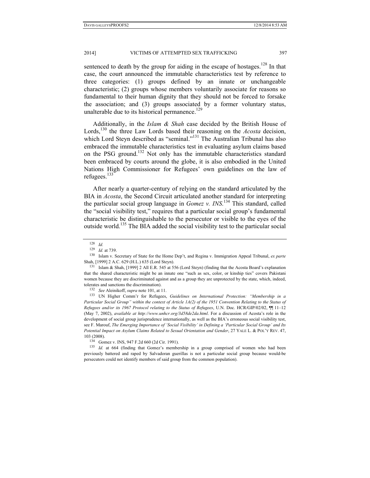sentenced to death by the group for aiding in the escape of hostages.<sup>128</sup> In that case, the court announced the immutable characteristics test by reference to three categories: (1) groups defined by an innate or unchangeable characteristic; (2) groups whose members voluntarily associate for reasons so fundamental to their human dignity that they should not be forced to forsake the association; and (3) groups associated by a former voluntary status, unalterable due to its historical permanence.<sup>129</sup>

Additionally, in the *Islam & Shah* case decided by the British House of Lords,<sup>130</sup> the three Law Lords based their reasoning on the *Acosta* decision, which Lord Steyn described as "seminal."<sup>131</sup> The Australian Tribunal has also embraced the immutable characteristics test in evaluating asylum claims based on the PSG ground.132 Not only has the immutable characteristics standard been embraced by courts around the globe, it is also embodied in the United Nations High Commissioner for Refugees' own guidelines on the law of refugees.<sup>133</sup>

After nearly a quarter-century of relying on the standard articulated by the BIA in *Acosta*, the Second Circuit articulated another standard for interpreting the particular social group language in *Gomez v. INS*. 134 This standard, called the "social visibility test," requires that a particular social group's fundamental characteristic be distinguishable to the persecutor or visible to the eyes of the outside world.135 The BIA added the social visibility test to the particular social

<sup>128</sup> *Id.* 

<sup>&</sup>lt;sup>130</sup> Islam v. Secretary of State for the Home Dep't, and Regina v. Immigration Appeal Tribunal, *ex parte* Shah, [1999] 2 A.C. 629 (H.L.) 635 (Lord Steyn).<br><sup>131</sup> Islam & Shah, [1999] 2 All E.R. 545 at 556 (Lord Steyn) (finding that the Acosta Board's explanation

that the shared characteristic might be an innate one "such as sex, color, or kinship ties" covers Pakistani women because they are discriminated against and as a group they are unprotected by the state, which, indeed,

tolerates and sanctions the discrimination).<br><sup>132</sup> *See* Aleinikoff, *supra* note 101, at 11.<br><sup>133</sup> UN Higher Comm'r for Refugees, *Guidelines on International Protection: "Membership in a Particular Social Group" within the context of Article 1A(2) of the 1951 Convention Relating to the Status of Refugees and/or its 1967 Protocol relating to the Status of Refugees*, U.N. Doc. HCR/GIP/02/02, ¶¶ 11–12 (May 7, 2002), *available at http://www.unhcr.org/3d58de2da.html*. For a discussion of Acosta's role in the development of social group jurisprudence internationally, as well as the BIA's erroneous social visibility test, see F. Marouf, *The Emerging Importance of 'Social Visibility' in Defining a 'Particular Social Group' and Its Potential Impact on Asylum Claims Related to Sexual Orientation and Gender*, 27 YALE L. & POL'Y REV. 47, 103 (2008). 134 Gomez v. INS, 947 F.2d 660 (2d Cir. 1991). 135 *Id.* at 664 (finding that Gomez's membership in a group comprised of women who had been

previously battered and raped by Salvadoran guerillas is not a particular social group because would-be persecutors could not identify members of said group from the common population).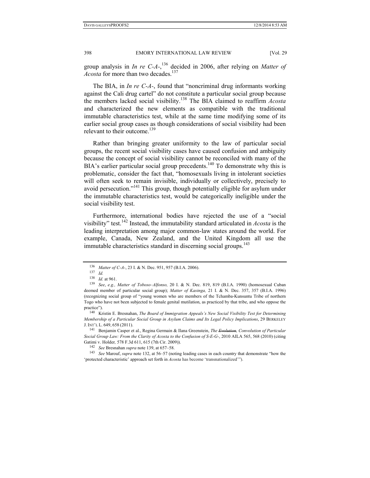group analysis in *In re C-A-*, 136 decided in 2006, after relying on *Matter of Acosta* for more than two decades.<sup>137</sup>

The BIA, in *In re C-A-*, found that "noncriminal drug informants working against the Cali drug cartel" do not constitute a particular social group because the members lacked social visibility.138 The BIA claimed to reaffirm *Acosta*  and characterized the new elements as compatible with the traditional immutable characteristics test, while at the same time modifying some of its earlier social group cases as though considerations of social visibility had been relevant to their outcome.<sup>139</sup>

Rather than bringing greater uniformity to the law of particular social groups, the recent social visibility cases have caused confusion and ambiguity because the concept of social visibility cannot be reconciled with many of the  $BIA's$  earlier particular social group precedents.<sup>140</sup> To demonstrate why this is problematic, consider the fact that, "homosexuals living in intolerant societies will often seek to remain invisible, individually or collectively, precisely to avoid persecution."<sup>141</sup> This group, though potentially eligible for asylum under the immutable characteristics test, would be categorically ineligible under the social visibility test.

Furthermore, international bodies have rejected the use of a "social visibility" test.142 Instead, the immutability standard articulated in *Acosta* is the leading interpretation among major common-law states around the world. For example, Canada, New Zealand, and the United Kingdom all use the immutable characteristics standard in discerning social groups.<sup>143</sup>

*Social Group Law: From the Clarity of Acosta to the Confusion of S-E-G-*, 2010 AILA 565, 568 (2010) (citing Gatimi v. Holder, 578 F.3d 611, 615 (7th Cir. 2009)).<br><sup>142</sup> See Bresnahan supra note 139, at 657–58.<br><sup>143</sup> See Marouf, supra note 132, at 56–57 (noting leading cases in each country that demonstrate "how the

'protected characteristic' approach set forth in *Acosta* has become 'transnationalized'").

<sup>136</sup> *Matter of C-A-*, 23 I. & N. Dec. 951, 957 (B.I.A. 2006).<br><sup>137</sup> *Id. IA.* at 961.

<sup>&</sup>lt;sup>139</sup> *See*, *e.g., Matter of Toboso-Alfonso*, 20 I. & N. Dec. 819, 819 (B.I.A. 1990) (homosexual Cuban deemed member of particular social group); *Matter of Kasinga,* 21 I. & N. Dec. 357, 357 (B.I.A. 1996) (recognizing social group of "young women who are members of the Tchamba-Kunsuntu Tribe of northern Togo who have not been subjected to female genital mutilation, as practiced by that tribe, and who oppose the practice"). 140 Kristin E. Bresnahan, *The Board of Immigration Appeals's New Social Visibility Test for Determining* 

*Membership of a Particular Social Group in Asylum Claims and Its Legal Policy Implications*, 29 BERKELEY J. INT'L L. 649, <sup>658</sup> (2011). 141 Benjamin Casper et al., Regina Germain & Ilana Greenstein, *The Evolution, Convolution of Particular*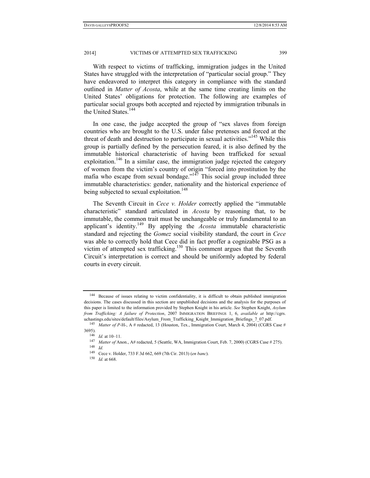2014] VICTIMS OF ATTEMPTED SEX TRAFFICKING 399

With respect to victims of trafficking, immigration judges in the United States have struggled with the interpretation of "particular social group." They have endeavored to interpret this category in compliance with the standard outlined in *Matter of Acosta*, while at the same time creating limits on the United States' obligations for protection. The following are examples of particular social groups both accepted and rejected by immigration tribunals in the United States.<sup>144</sup>

In one case, the judge accepted the group of "sex slaves from foreign countries who are brought to the U.S. under false pretenses and forced at the threat of death and destruction to participate in sexual activities."<sup>145</sup> While this group is partially defined by the persecution feared, it is also defined by the immutable historical characteristic of having been trafficked for sexual exploitation.<sup>146</sup> In a similar case, the immigration judge rejected the category of women from the victim's country of origin "forced into prostitution by the mafia who escape from sexual bondage." $147$  This social group included three immutable characteristics: gender, nationality and the historical experience of being subjected to sexual exploitation.<sup>148</sup>

The Seventh Circuit in *Cece v. Holder* correctly applied the "immutable characteristic" standard articulated in *Acosta* by reasoning that, to be immutable, the common trait must be unchangeable or truly fundamental to an applicant's identity.149 By applying the *Acosta* immutable characteristic standard and rejecting the *Gomez* social visibility standard, the court in *Cece* was able to correctly hold that Cece did in fact proffer a cognizable PSG as a victim of attempted sex trafficking.<sup>150</sup> This comment argues that the Seventh Circuit's interpretation is correct and should be uniformly adopted by federal courts in every circuit.

<sup>144</sup> Because of issues relating to victim confidentiality, it is difficult to obtain published immigration decisions. The cases discussed in this section are unpublished decisions and the analysis for the purposes of this paper is limited to the information provided by Stephen Knight in his article. *See* Stephen Knight, *Asylum from Trafficking: A failure of Protection*, 2007 IMMIGRATION BRIEFINGS 1, 6, *available at* http://cgrs.

uchastings.edu/sites/default/files/Asylum\_From\_Trafficking\_Knight\_Immigration\_Briefings\_7\_07.pdf. 145 *Matter of P-*H-, A # redacted, 13 (Houston, Tex., Immigration Court, March 4, 2004) (CGRS Case #

<sup>3695). 146</sup> *Id.* at 10–11. 147 *Matter of* Anon., A# redacted, 5 (Seattle, WA, Immigration Court, Feb. 7, 2000) (CGRS Case # 275). 148 *Id.* 

<sup>149</sup> Cece v. Holder, 733 F.3d 662, 669 (7th Cir. 2013) (*en banc*). 150 *Id.* at 668.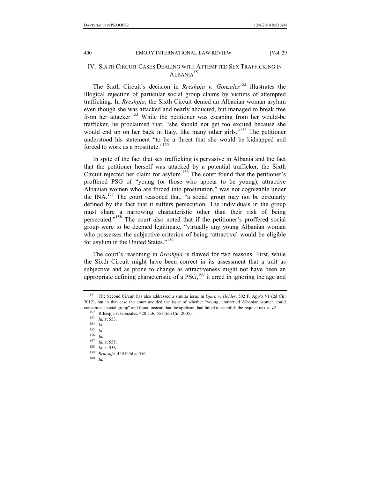## IV. SIXTH CIRCUIT CASES DEALING WITH ATTEMPTED SEX TRAFFICKING IN ALBANIA<sup>151</sup>

The Sixth Circuit's decision in *Rreshpja v. Gonzales*152 illustrates the illogical rejection of particular social group claims by victims of attempted trafficking. In *Rreshpja*, the Sixth Circuit denied an Albanian woman asylum even though she was attacked and nearly abducted, but managed to break free from her attacker.153 While the petitioner was escaping from her would-be trafficker, he proclaimed that, "she should not get too excited because she would end up on her back in Italy, like many other girls."<sup>154</sup> The petitioner understood his statement "to be a threat that she would be kidnapped and forced to work as a prostitute."155

In spite of the fact that sex trafficking is pervasive in Albania and the fact that the petitioner herself was attacked by a potential trafficker, the Sixth Circuit rejected her claim for asylum.<sup>156</sup> The court found that the petitioner's proffered PSG of "young (or those who appear to be young), attractive Albanian women who are forced into prostitution," was not cognizable under the INA.<sup>157</sup> The court reasoned that, "a social group may not be circularly defined by the fact that it suffers persecution. The individuals in the group must share a narrowing characteristic other than their risk of being persecuted."158 The court also noted that if the petitioner's proffered social group were to be deemed legitimate, "virtually any young Albanian woman who possesses the subjective criterion of being 'attractive' would be eligible for asylum in the United States."<sup>159</sup>

The court's reasoning in *Rreshpja* is flawed for two reasons. First, while the Sixth Circuit might have been correct in its assessment that a trait as subjective and as prone to change as attractiveness might not have been an appropriate defining characteristic of a  $PSG<sub>160</sub>$  it erred in ignoring the age and

<sup>151</sup> The Second Circuit has also addressed a similar issue in *Gjura v. Holder*, 502 F. App'x 91 (2d Cir. 2012), but in that case the court avoided the issue of whether "young, unmarried Albanian women could constitute a social group" and found instead that the applicant had failed to establish the requisit nexus. *Id.*

<sup>152</sup> Rrhespja v. Gonzales, 420 F.3d 551 (6th Cir. 2005). 153 *Id.* at 553. 154 *Id.* 

<sup>155</sup> *Id.* 156 *Id.*

<sup>157</sup> *Id.* at 555. 158 *Id.* at 556. 159 *Rrhespja,* 420 F.3d at 556. 160 *Id.*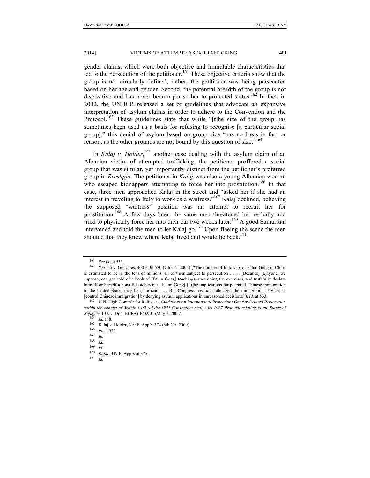gender claims, which were both objective and immutable characteristics that  $\text{Re}$  led to the persecution of the petitioner.<sup>161</sup> These objective criteria show that the group is not circularly defined; rather, the petitioner was being persecuted based on her age and gender. Second, the potential breadth of the group is not dispositive and has never been a per se bar to protected status.<sup>162</sup> In fact, in 2002, the UNHCR released a set of guidelines that advocate an expansive interpretation of asylum claims in order to adhere to the Convention and the Protocol.<sup>163</sup> These guidelines state that while "[t]he size of the group has sometimes been used as a basis for refusing to recognise [a particular social group]," this denial of asylum based on group size "has no basis in fact or reason, as the other grounds are not bound by this question of size."<sup>164</sup>

In *Kalaj v. Holder*,<sup>165</sup> another case dealing with the asylum claim of an Albanian victim of attempted trafficking, the petitioner proffered a social group that was similar, yet importantly distinct from the petitioner's proferred group in *Rreshpja*. The petitioner in *Kalaj* was also a young Albanian woman who escaped kidnappers attempting to force her into prostitution.<sup>166</sup> In that case, three men approached Kalaj in the street and "asked her if she had an interest in traveling to Italy to work as a waitress."167 Kalaj declined, believing the supposed "waitress" position was an attempt to recruit her for prostitution.168 A few days later, the same men threatened her verbally and tried to physically force her into their car two weeks later.<sup>169</sup> A good Samaritan intervened and told the men to let Kalaj go.<sup>170</sup> Upon fleeing the scene the men shouted that they knew where Kalaj lived and would be back.<sup>171</sup>

<sup>161</sup> *See id.* at 555. 162 *See* Iao v. Gonzales, 400 F.3d 530 (7th Cir. 2005) ("The number of followers of Falun Gong in China is estimated to be in the tens of millions, all of them subject to persecution . . . . [Because] [a]nyone, we suppose, can get hold of a book of [Falun Gong] teachings, start doing the exercises, and truthfully declare himself or herself a bona fide adherent to Falun Gong[,] [t]he implications for potential Chinese immigration to the United States may be significant . . . But Congress has not authorized the immigration services to [control Chinese immigration] by denying asylum applications in unreasoned decisions."). *Id.* at 533. 163 U.N. High Comm'r for Refugees, *Guidelines on International Protection: Gender-Related Persecution* 

*within the context of Article 1A(2) of the 1951 Convention and/or its 1967 Protocol relating to the Status of Refugees* 1 U.N. Doc. HCR/GIP/02/01 (May 7, 2002).<br><sup>164</sup> *Id.* at 8.<br><sup>165</sup> Kalaj v. Holder, 319 F. App'x 374 (6th Cir. 2009).<br><sup>166</sup> *Id.* at 375.

<sup>168</sup> *Id.* 

<sup>169</sup> *Id.* 

<sup>170</sup> *Kalaj*, 319 F. App'x at 375.

<sup>171</sup> *Id.*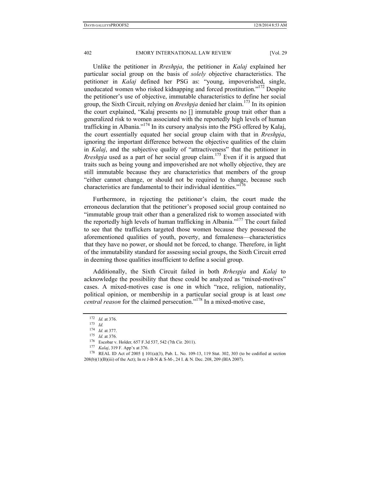Unlike the petitioner in *Rreshpja*, the petitioner in *Kalaj* explained her particular social group on the basis of *solely* objective characteristics. The petitioner in *Kalaj* defined her PSG as: "young, impoverished, single, uneducated women who risked kidnapping and forced prostitution."<sup>172</sup> Despite the petitioner's use of objective, immutable characteristics to define her social group, the Sixth Circuit, relying on *Rreshpja* denied her claim.173 In its opinion the court explained, "Kalaj presents no [] immutable group trait other than a generalized risk to women associated with the reportedly high levels of human trafficking in Albania."174 In its cursory analysis into the PSG offered by Kalaj, the court essentially equated her social group claim with that in *Rreshpja*, ignoring the important difference between the objective qualities of the claim in *Kalaj*, and the subjective quality of "attractiveness" that the petitioner in *Rreshpia* used as a part of her social group claim.<sup>175</sup> Even if it is argued that traits such as being young and impoverished are not wholly objective, they are still immutable because they are characteristics that members of the group "either cannot change, or should not be required to change, because such characteristics are fundamental to their individual identities."<sup>176</sup>

Furthermore, in rejecting the petitioner's claim, the court made the erroneous declaration that the petitioner's proposed social group contained no "immutable group trait other than a generalized risk to women associated with the reportedly high levels of human trafficking in Albania."177 The court failed to see that the traffickers targeted those women because they possessed the aforementioned qualities of youth, poverty, and femaleness—characteristics that they have no power, or should not be forced, to change. Therefore, in light of the immutability standard for assessing social groups, the Sixth Circuit erred in deeming those qualities insufficient to define a social group.

Additionally, the Sixth Circuit failed in both *Rrhespja* and *Kalaj* to acknowledge the possibility that these could be analyzed as "mixed-motives" cases. A mixed-motives case is one in which "race, religion, nationality, political opinion, or membership in a particular social group is at least *one central reason* for the claimed persecution."178 In a mixed-motive case,

<sup>172</sup> *Id.* at 376. 173 *Id.* 

<sup>&</sup>lt;sup>175</sup> *Id.* at 376.<br>
<sup>176</sup> Escobar v. Holder, 657 F.3d 537, 542 (7th Cir. 2011).<br>
<sup>177</sup> *Kalaj*, 319 F. App'x at 376.<br>
<sup>178</sup> REAL ID Act of 2005 § 101(a)(3), Pub. L. No. 109-13, 119 Stat. 302, 303 (to be codified at secti 208(b)(1)(B)(iii) of the Act); In re J-B-N & S-M-, 24 I. & N. Dec. 208, 209 (BIA 2007).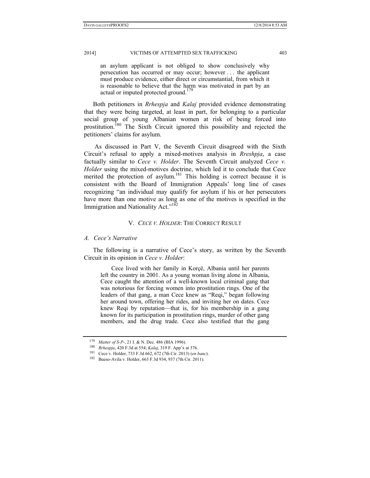an asylum applicant is not obliged to show conclusively why persecution has occurred or may occur; however . . . the applicant must produce evidence, either direct or circumstantial, from which it is reasonable to believe that the harm was motivated in part by an actual or imputed protected ground.<sup>179</sup>

Both petitioners in *Rrhespja* and *Kalaj* provided evidence demonstrating that they were being targeted, at least in part, for belonging to a particular social group of young Albanian women at risk of being forced into prostitution.<sup>180</sup> The Sixth Circuit ignored this possibility and rejected the petitioners' claims for asylum.

 As discussed in Part V, the Seventh Circuit disagreed with the Sixth Circuit's refusal to apply a mixed-motives analysis in *Rreshpja*, a case factually similar to *Cece v. Holder*. The Seventh Circuit analyzed *Cece v. Holder* using the mixed-motives doctrine, which led it to conclude that Cece merited the protection of asylum.<sup>181</sup> This holding is correct because it is consistent with the Board of Immigration Appeals' long line of cases recognizing "an individual may qualify for asylum if his or her persecutors have more than one motive as long as one of the motives is specified in the Immigration and Nationality Act."<sup>182</sup>

#### V. *CECE V. HOLDER*: THE CORRECT RESULT

#### *A. Cece's Narrative*

The following is a narrative of Cece's story, as written by the Seventh Circuit in its opinion in *Cece v. Holder*:

Cece lived with her family in Korçë, Albania until her parents left the country in 2001. As a young woman living alone in Albania, Cece caught the attention of a well-known local criminal gang that was notorious for forcing women into prostitution rings. One of the leaders of that gang, a man Cece knew as "Reqi," began following her around town, offering her rides, and inviting her on dates. Cece knew Reqi by reputation—that is, for his membership in a gang known for its participation in prostitution rings, murder of other gang members, and the drug trade. Cece also testified that the gang

<sup>&</sup>lt;sup>179</sup> Matter of S-P-, 21 I. & N. Dec. 486 (BIA 1996).<br>
<sup>180</sup> *Rrhespja*, 420 F.3d at 554; *Kalaj*, 319 F. App'x at 376.<br>
<sup>181</sup> Cece v. Holder, 733 F.3d 662, 672 (7th Cir. 2013) (*en banc*).<br>
<sup>182</sup> Bueso-Avila v. Holder, 66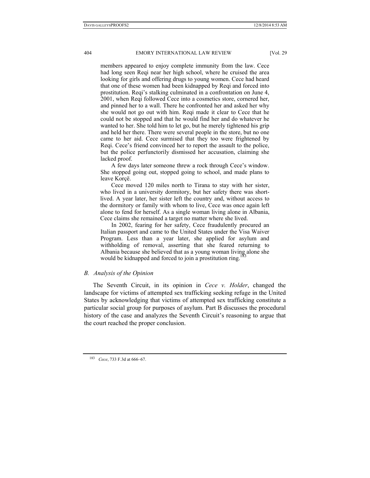members appeared to enjoy complete immunity from the law. Cece had long seen Reqi near her high school, where he cruised the area looking for girls and offering drugs to young women. Cece had heard that one of these women had been kidnapped by Requal and forced into prostitution. Reqi's stalking culminated in a confrontation on June 4, 2001, when Reqi followed Cece into a cosmetics store, cornered her, and pinned her to a wall. There he confronted her and asked her why she would not go out with him. Reqi made it clear to Cece that he could not be stopped and that he would find her and do whatever he wanted to her. She told him to let go, but he merely tightened his grip and held her there. There were several people in the store, but no one came to her aid. Cece surmised that they too were frightened by Reqi. Cece's friend convinced her to report the assault to the police, but the police perfunctorily dismissed her accusation, claiming she lacked proof.

A few days later someone threw a rock through Cece's window. She stopped going out, stopped going to school, and made plans to leave Korcë.

Cece moved 120 miles north to Tirana to stay with her sister, who lived in a university dormitory, but her safety there was shortlived. A year later, her sister left the country and, without access to the dormitory or family with whom to live, Cece was once again left alone to fend for herself. As a single woman living alone in Albania, Cece claims she remained a target no matter where she lived.

In 2002, fearing for her safety, Cece fraudulently procured an Italian passport and came to the United States under the Visa Waiver Program. Less than a year later, she applied for asylum and withholding of removal, asserting that she feared returning to Albania because she believed that as a young woman living alone she would be kidnapped and forced to join a prostitution ring.<sup>183</sup>

## *B. Analysis of the Opinion*

The Seventh Circuit, in its opinion in *Cece v. Holder*, changed the landscape for victims of attempted sex trafficking seeking refuge in the United States by acknowledging that victims of attempted sex trafficking constitute a particular social group for purposes of asylum. Part B discusses the procedural history of the case and analyzes the Seventh Circuit's reasoning to argue that the court reached the proper conclusion.

<sup>183</sup> *Cece*, 733 F.3d at 666–67.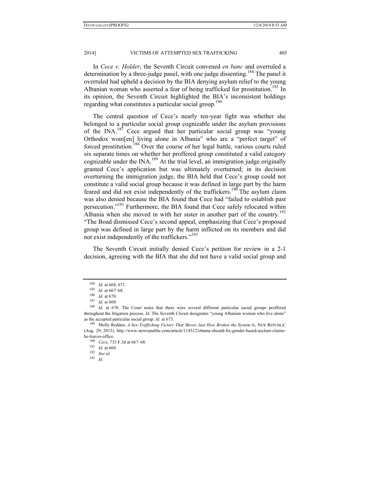In *Cece v. Holder*, the Seventh Circuit convened *en banc* and overruled a determination by a three-judge panel, with one judge dissenting.<sup>184</sup> The panel it overruled had upheld a decision by the BIA denying asylum relief to the young Albanian woman who asserted a fear of being trafficked for prostitution.<sup>185</sup> In its opinion, the Seventh Circuit highlighted the BIA's inconsistent holdings regarding what constitutes a particular social group.<sup>186</sup>

The central question of Cece's nearly ten-year fight was whether she belonged to a particular social group cognizable under the asylum provisions of the  $\text{INA.}^{187}$  Cece argued that her particular social group was "young Orthodox wom[en] living alone in Albania" who are a "perfect target" of forced prostitution.188 Over the course of her legal battle, various courts ruled six separate times on whether her proffered group constituted a valid category cognizable under the INA.<sup>189</sup> At the trial level, an immigration judge originally granted Cece's application but was ultimately overturned; in its decision overturning the immigration judge, the BIA held that Cece's group could not constitute a valid social group because it was defined in large part by the harm feared and did not exist independently of the traffickers.<sup>190</sup> The asylum claim was also denied because the BIA found that Cece had "failed to establish past persecution."<sup>191</sup> Furthermore, the BIA found that Cece safely relocated within Albania when she moved in with her sister in another part of the country.<sup>192</sup> "The Boad dismissed Cece's second appeal, emphasizing that Cece's proposed group was defined in large part by the harm inflicted on its members and did not exist independently of the traffickers."193

The Seventh Circuit initially denied Cece's petition for review in a 2-1 decision, agreeing with the BIA that she did not have a valid social group and

<sup>184</sup> *Id.* at 668, 671.<br>
<sup>185</sup> *Id.* at 667–68.<br>
<sup>186</sup> *Id.* at 670.<br>
<sup>187</sup> *Id.* at 668.<br> *Id.* at 670. The Court notes that there were several different particular social groups proffered throughout the litigation process. *Id.* The Seventh Circuit designates "young Albanian women who live alone" as the accepted particular social group. *Id.* at 673.<br><sup>189</sup> Molly Redden, *A Sex-Trafficking Victory That Shows Just How Broken the System Is*, NEW REPUBLIC

<sup>(</sup>Aug. 29, 2013), http://www.newrepublic.com/article/114512/obama-should-fix-gender-based-asylum-claimshe-leaves-office. 190 *Cece*, 733 F.3d at 667–68.

<sup>191</sup> *Id.* at 668. 192 *See id.* 

<sup>193</sup> *Id.*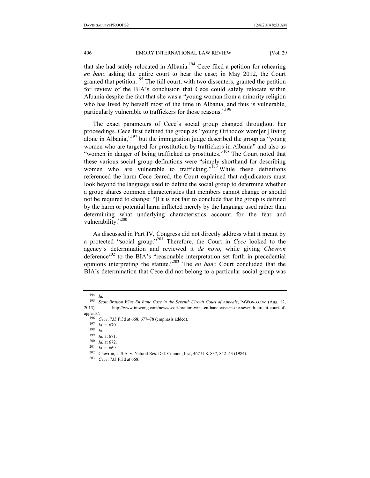that she had safely relocated in Albania.<sup>194</sup> Cece filed a petition for rehearing *en banc* asking the entire court to hear the case; in May 2012, the Court granted that petition.<sup>195</sup> The full court, with two dissenters, granted the petition for review of the BIA's conclusion that Cece could safely relocate within Albania despite the fact that she was a "young woman from a minority religion who has lived by herself most of the time in Albania, and thus is vulnerable, particularly vulnerable to traffickers for those reasons."<sup>196</sup>

The exact parameters of Cece's social group changed throughout her proceedings. Cece first defined the group as "young Orthodox wom[en] living alone in Albania,"197 but the immigration judge described the group as "young women who are targeted for prostitution by traffickers in Albania" and also as "women in danger of being trafficked as prostitutes."<sup>198</sup> The Court noted that these various social group definitions were "simply shorthand for describing women who are vulnerable to trafficking."<sup>199</sup> While these definitions referenced the harm Cece feared, the Court explained that adjudicators must look beyond the language used to define the social group to determine whether a group shares common characteristics that members cannot change or should not be required to change: "[I]t is not fair to conclude that the group is defined by the harm or potential harm inflicted merely by the language used rather than determining what underlying characteristics account for the fear and vulnerability."<sup>200</sup>

As discussed in Part IV, Congress did not directly address what it meant by a protected "social group."201 Therefore, the Court in *Cece* looked to the agency's determination and reviewed it *de novo*, while giving *Chevron*   $d$ eference<sup>202</sup> to the BIA's "reasonable interpretation set forth in precedential opinions interpreting the statute."203 The *en banc* Court concluded that the BIA's determination that Cece did not belong to a particular social group was

<sup>194</sup> *Id.* 

<sup>&</sup>lt;sup>195</sup> Scott Bratton Wins En Banc Case in the Seventh Circuit Court of Appeals, IMWONG.COM (Aug. 12, 2013), http://www.imwong.com/news/scott-bratton-wins-en-banc-case-in-the-seventh-circuit-court-of-

appeals/.<br><sup>196</sup> *Cece*, 733 F.3d at 668, 677–78 (emphasis added).<br><sup>197</sup> *Id.* at 670.<br><sup>198</sup> *Id.* at 671.

<sup>199</sup> *Id.* at 671. 200 *Id.* at 672. 201 *Id.* at 669. 202 Chevron, U.S.A. v. Natural Res. Def. Council, Inc., 467 U.S. 837, 842–43 (1984). 203 *Cece*, 733 F.3d at 668.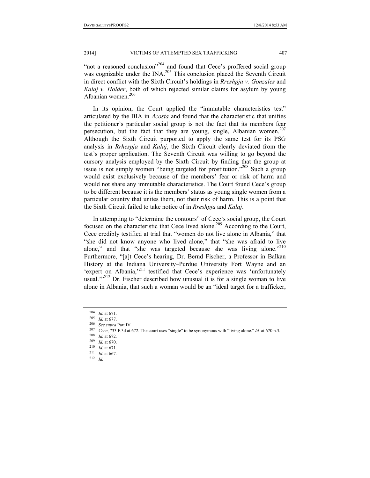"not a reasoned conclusion"<sup>204</sup> and found that Cece's proffered social group was cognizable under the INA.<sup>205</sup> This conclusion placed the Seventh Circuit in direct conflict with the Sixth Circuit's holdings in *Rreshpja v. Gonzales* and *Kalaj v. Holder*, both of which rejected similar claims for asylum by young Albanian women.<sup>206</sup>

In its opinion, the Court applied the "immutable characteristics test" articulated by the BIA in *Acosta* and found that the characteristic that unifies the petitioner's particular social group is not the fact that its members fear persecution, but the fact that they are young, single, Albanian women.<sup>207</sup> Although the Sixth Circuit purported to apply the same test for its PSG analysis in *Rrhespja* and *Kalaj*, the Sixth Circuit clearly deviated from the test's proper application. The Seventh Circuit was willing to go beyond the cursory analysis employed by the Sixth Circuit by finding that the group at issue is not simply women "being targeted for prostitution."208 Such a group would exist exclusively because of the members' fear or risk of harm and would not share any immutable characteristics. The Court found Cece's group to be different because it is the members' status as young single women from a particular country that unites them, not their risk of harm. This is a point that the Sixth Circuit failed to take notice of in *Rreshpja* and *Kalaj*.

In attempting to "determine the contours" of Cece's social group, the Court focused on the characteristic that Cece lived alone.<sup>209</sup> According to the Court, Cece credibly testified at trial that "women do not live alone in Albania," that "she did not know anyone who lived alone," that "she was afraid to live alone," and that "she was targeted because she was living alone."<sup>210</sup> Furthermore, "[a]t Cece's hearing, Dr. Bernd Fischer, a Professor in Balkan History at the Indiana University–Purdue University Fort Wayne and an 'expert on Albania,<sup>211</sup> testified that Cece's experience was 'unfortunately usual." $2^{12}$  Dr. Fischer described how unusual it is for a single woman to live alone in Albania, that such a woman would be an "ideal target for a trafficker,

<sup>204</sup> *Id.* at 671. 205 *Id.* at 677. 206 *See supra* Part IV*.*

<sup>&</sup>lt;sup>207</sup> *Cece*, 733 F.3d at 672. The court uses "single" to be synonymous with "living alone." *Id.* at 670 n.3. <br><sup>208</sup> *Id.* at 672.<br><sup>209</sup> *Id.* at 670.

<sup>209</sup> *Id.* at 670. 210 *Id.* at 671. 211 *Id.* at 667. 212 *Id.*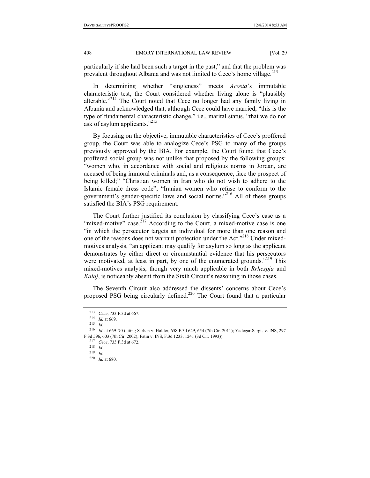particularly if she had been such a target in the past," and that the problem was prevalent throughout Albania and was not limited to Cece's home village. $^{213}$ 

In determining whether "singleness" meets *Acosta*'s immutable characteristic test, the Court considered whether living alone is "plausibly alterable."<sup>214</sup> The Court noted that Cece no longer had any family living in Albania and acknowledged that, although Cece could have married, "this is the type of fundamental characteristic change," i.e., marital status, "that we do not ask of asylum applicants."215

By focusing on the objective, immutable characteristics of Cece's proffered group, the Court was able to analogize Cece's PSG to many of the groups previously approved by the BIA. For example, the Court found that Cece's proffered social group was not unlike that proposed by the following groups: "women who, in accordance with social and religious norms in Jordan, are accused of being immoral criminals and, as a consequence, face the prospect of being killed;" "Christian women in Iran who do not wish to adhere to the Islamic female dress code"; "Iranian women who refuse to conform to the government's gender-specific laws and social norms."216 All of these groups satisfied the BIA's PSG requirement.

The Court further justified its conclusion by classifying Cece's case as a "mixed-motive" case.<sup> $2^{17}$ </sup> According to the Court, a mixed-motive case is one "in which the persecutor targets an individual for more than one reason and one of the reasons does not warrant protection under the Act."<sup>218</sup> Under mixedmotives analysis, "an applicant may qualify for asylum so long as the applicant demonstrates by either direct or circumstantial evidence that his persecutors were motivated, at least in part, by one of the enumerated grounds."<sup>219</sup> This mixed-motives analysis, though very much applicable in both *Rrhespja* and *Kalaj*, is noticeably absent from the Sixth Circuit's reasoning in those cases.

The Seventh Circuit also addressed the dissents' concerns about Cece's proposed PSG being circularly defined.<sup>220</sup> The Court found that a particular

<sup>213</sup> *Cece*, 733 F.3d at 667. 214 *Id.* at 669. 215 *Id.* 

<sup>216</sup> *Id*. at 669–70 (citing Sarhan v. Holder, 658 F.3d 649, 654 (7th Cir. 2011); Yadegar-Sargis v. INS, 297 F.3d 596, 603 (7th Cir. 2002); Fatin v. INS, F.3d 1233, 1241 (3d Cir. 1993)). 217 *Cece*, 733 F.3d at 672. 218 *Id.* 

<sup>219</sup> *Id.* 

<sup>220</sup> *Id.* at 680.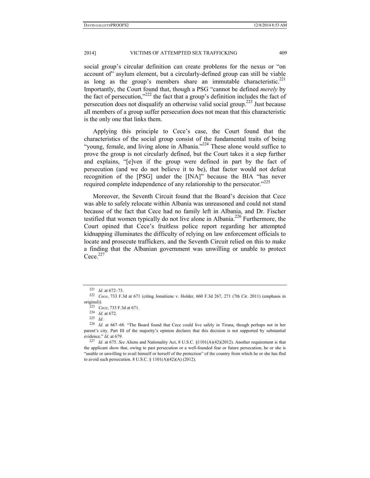social group's circular definition can create problems for the nexus or "on account of" asylum element, but a circularly-defined group can still be viable as long as the group's members share an immutable characteristic. $221$ Importantly, the Court found that, though a PSG "cannot be defined *merely* by the fact of persecution,"222 the fact that a group's definition includes the fact of persecution does not disqualify an otherwise valid social group.223 Just because all members of a group suffer persecution does not mean that this characteristic is the only one that links them.

Applying this principle to Cece's case, the Court found that the characteristics of the social group consist of the fundamental traits of being "young, female, and living alone in Albania."<sup>224</sup> These alone would suffice to prove the group is not circularly defined, but the Court takes it a step further and explains, "[e]ven if the group were defined in part by the fact of persecution (and we do not believe it to be), that factor would not defeat recognition of the [PSG] under the [INA]" because the BIA "has never required complete independence of any relationship to the persecutor.<sup>3225</sup>

Moreover, the Seventh Circuit found that the Board's decision that Cece was able to safely relocate within Albania was unreasoned and could not stand because of the fact that Cece had no family left in Albania, and Dr. Fischer testified that women typically do not live alone in Albania.<sup>226</sup> Furthermore, the Court opined that Cece's fruitless police report regarding her attempted kidnapping illuminates the difficulty of relying on law enforcement officials to locate and prosecute traffickers, and the Seventh Circuit relied on this to make a finding that the Albanian government was unwilling or unable to protect  $Cece^{227}$ 

<sup>221</sup> *Id.* at 672–73. 222 *Cece*, 733 F.3d at 671 (citing Jonaitiene v. Holder, 660 F.3d 267, 271 (7th Cir. 2011) (emphasis in original)).<br><sup>223</sup> *Cece*, 733 F.3d at 671.<br><sup>224</sup> *Id.* at 672.<br><sup>225</sup> *Id* 

<sup>226</sup> *Id.* at 667–68. "The Board found that Cece could live safely in Tirana, though perhaps not in her parent's city. Part III of the majority's opinion declares that this decision is not supported by substantial evidence." *Id.* at 679.

<sup>227</sup> *Id.* at 675. *See* Aliens and Nationality Act, 8 U.S.C. §1101(A)(42)(2012). Another requirement is that the applicant show that, owing to past persecution or a well-founded fear or future persecution, he or she is "unable or unwilling to avail himself or herself of the protection" of the country from which he or she has fled to avoid such persecution. 8 U.S.C. § 1101(A)(42)(A) (2012).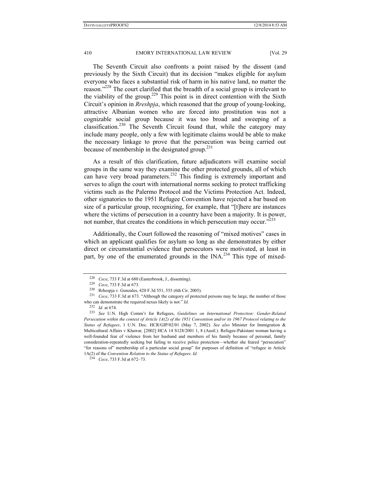The Seventh Circuit also confronts a point raised by the dissent (and previously by the Sixth Circuit) that its decision "makes eligible for asylum everyone who faces a substantial risk of harm in his native land, no matter the reason."<sup>228</sup> The court clarified that the breadth of a social group is irrelevant to the viability of the group.<sup>229</sup> This point is in direct contention with the Sixth Circuit's opinion in *Rreshpja*, which reasoned that the group of young-looking, attractive Albanian women who are forced into prostitution was not a cognizable social group because it was too broad and sweeping of a classification.<sup>230</sup> The Seventh Circuit found that, while the category may include many people, only a few with legitimate claims would be able to make the necessary linkage to prove that the persecution was being carried out because of membership in the designated group. $^{231}$ 

As a result of this clarification, future adjudicators will examine social groups in the same way they examine the other protected grounds, all of which can have very broad parameters.<sup>232</sup> This finding is extremely important and serves to align the court with international norms seeking to protect trafficking victims such as the Palermo Protocol and the Victims Protection Act. Indeed, other signatories to the 1951 Refugee Convention have rejected a bar based on size of a particular group, recognizing, for example, that "[t]here are instances where the victims of persecution in a country have been a majority. It is power, not number, that creates the conditions in which persecution may occur. $^{2233}$ 

Additionally, the Court followed the reasoning of "mixed motives" cases in which an applicant qualifies for asylum so long as she demonstrates by either direct or circumstantial evidence that persecutors were motivated, at least in part, by one of the enumerated grounds in the INA.<sup>234</sup> This type of mixed-

<sup>&</sup>lt;sup>228</sup> *Cece*, 733 F.3d at 680 (Easterbrook, J., dissenting).<br><sup>229</sup> *Cece*, 733 F.3d at 673.<br><sup>230</sup> Rrhespja v. Gonzales, 420 F.3d 551, 555 (6th Cir. 2005).<br><sup>231</sup> *Cece*, 733 F.3d at 673. "Although the category of protected who can demonstrate the required nexus likely is not." *Id.*

<sup>232</sup> *Id.* at 674. 233 *See* U.N. High Comm'r for Refugees, *Guidelines on International Protection: Gender-Related Persecution within the context of Article 1A(2) of the 1951 Convention and/or its 1967 Protocol relating to the Status of Refugees*, 1 U.N. Doc. HCR/GIP/02/01 (May 7, 2002). *See also* Minister for Immigration & Multicultural Affairs v Khawar*,* [2002] HCA 14 S128/2001 1, 8 (Austl.). Refugee-Pakistani woman having a well-founded fear of violence from her husband and members of his family because of personal, family consideration-repeatedly seeking but failing to receive police protection—whether she feared "persecution" "for reasons of" membership of a particular social group" for purposes of definition of "refugee in Article 1A(2) of the *Convention Relation to the Status of Refugees*. *Id.*

<sup>234</sup> *Cece*, 733 F.3d at 672–73.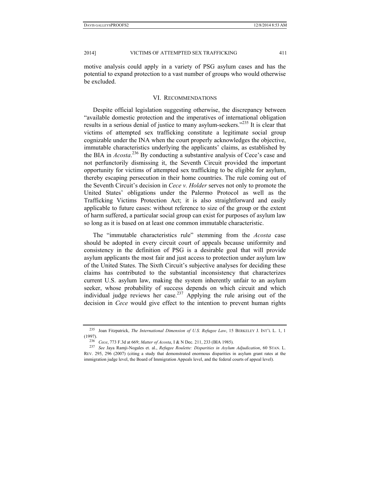motive analysis could apply in a variety of PSG asylum cases and has the potential to expand protection to a vast number of groups who would otherwise be excluded.

#### VI. RECOMMENDATIONS

Despite official legislation suggesting otherwise, the discrepancy between "available domestic protection and the imperatives of international obligation results in a serious denial of justice to many asylum-seekers.<sup>3235</sup> It is clear that victims of attempted sex trafficking constitute a legitimate social group cognizable under the INA when the court properly acknowledges the objective, immutable characteristics underlying the applicants' claims, as established by the BIA in *Acosta*. 236 By conducting a substantive analysis of Cece's case and not perfunctorily dismissing it, the Seventh Circuit provided the important opportunity for victims of attempted sex trafficking to be eligible for asylum, thereby escaping persecution in their home countries. The rule coming out of the Seventh Circuit's decision in *Cece v. Holder* serves not only to promote the United States' obligations under the Palermo Protocol as well as the Trafficking Victims Protection Act; it is also straightforward and easily applicable to future cases: without reference to size of the group or the extent of harm suffered, a particular social group can exist for purposes of asylum law so long as it is based on at least one common immutable characteristic.

The "immutable characteristics rule" stemming from the *Acosta* case should be adopted in every circuit court of appeals because uniformity and consistency in the definition of PSG is a desirable goal that will provide asylum applicants the most fair and just access to protection under asylum law of the United States. The Sixth Circuit's subjective analyses for deciding these claims has contributed to the substantial inconsistency that characterizes current U.S. asylum law, making the system inherently unfair to an asylum seeker, whose probability of success depends on which circuit and which individual judge reviews her case.<sup>237</sup> Applying the rule arising out of the decision in *Cece* would give effect to the intention to prevent human rights

<sup>235</sup> Joan Fitzpatrick, *The International Dimension of U.S. Refugee Law*, 15 BERKELEY J. INT'L L. 1, 1 (1997). 236 *Cece*, 773 F.3d at 669; *Matter of Acosta*, I & N Dec. 211, 233 (BIA 1985). 237 *See* Jaya Ramji-Nogales et. al., *Refugee Roulette: Disparities in Asylum Adjudication*, 60 STAN. L.

REV. 295, 296 (2007) (citing a study that demonstrated enormous disparities in asylum grant rates at the immigration judge level, the Board of Immigration Appeals level, and the federal courts of appeal level).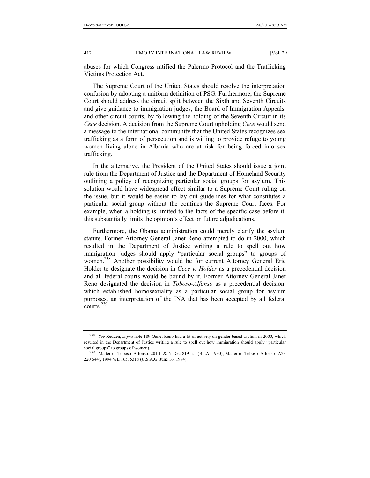abuses for which Congress ratified the Palermo Protocol and the Trafficking Victims Protection Act.

The Supreme Court of the United States should resolve the interpretation confusion by adopting a uniform definition of PSG. Furthermore, the Supreme Court should address the circuit split between the Sixth and Seventh Circuits and give guidance to immigration judges, the Board of Immigration Appeals, and other circuit courts, by following the holding of the Seventh Circuit in its *Cece* decision. A decision from the Supreme Court upholding *Cece* would send a message to the international community that the United States recognizes sex trafficking as a form of persecution and is willing to provide refuge to young women living alone in Albania who are at risk for being forced into sex trafficking.

In the alternative, the President of the United States should issue a joint rule from the Department of Justice and the Department of Homeland Security outlining a policy of recognizing particular social groups for asylum. This solution would have widespread effect similar to a Supreme Court ruling on the issue, but it would be easier to lay out guidelines for what constitutes a particular social group without the confines the Supreme Court faces. For example, when a holding is limited to the facts of the specific case before it, this substantially limits the opinion's effect on future adjudications.

Furthermore, the Obama administration could merely clarify the asylum statute. Former Attorney General Janet Reno attempted to do in 2000, which resulted in the Department of Justice writing a rule to spell out how immigration judges should apply "particular social groups" to groups of women. 238 Another possibility would be for current Attorney General Eric Holder to designate the decision in *Cece v. Holder* as a precedential decision and all federal courts would be bound by it. Former Attorney General Janet Reno designated the decision in *Toboso-Alfonso* as a precedential decision, which established homosexuality as a particular social group for asylum purposes, an interpretation of the INA that has been accepted by all federal courts. $^{239}$ 

<sup>238</sup> *See* Redden, *supra* note 189 (Janet Reno had a fit of activity on gender based asylum in 2000, which resulted in the Department of Justice writing a rule to spell out how immigration should apply "particular social groups" to groups of women). 239 Matter of Toboso–Alfonso*,* 201 I. & N Dec 819 n.1 (B.I.A. 1990); Matter of Toboso–Alfonso (A23

<sup>220 644), 1994</sup> WL 16515318 (U.S.A.G. June 16, 1994).